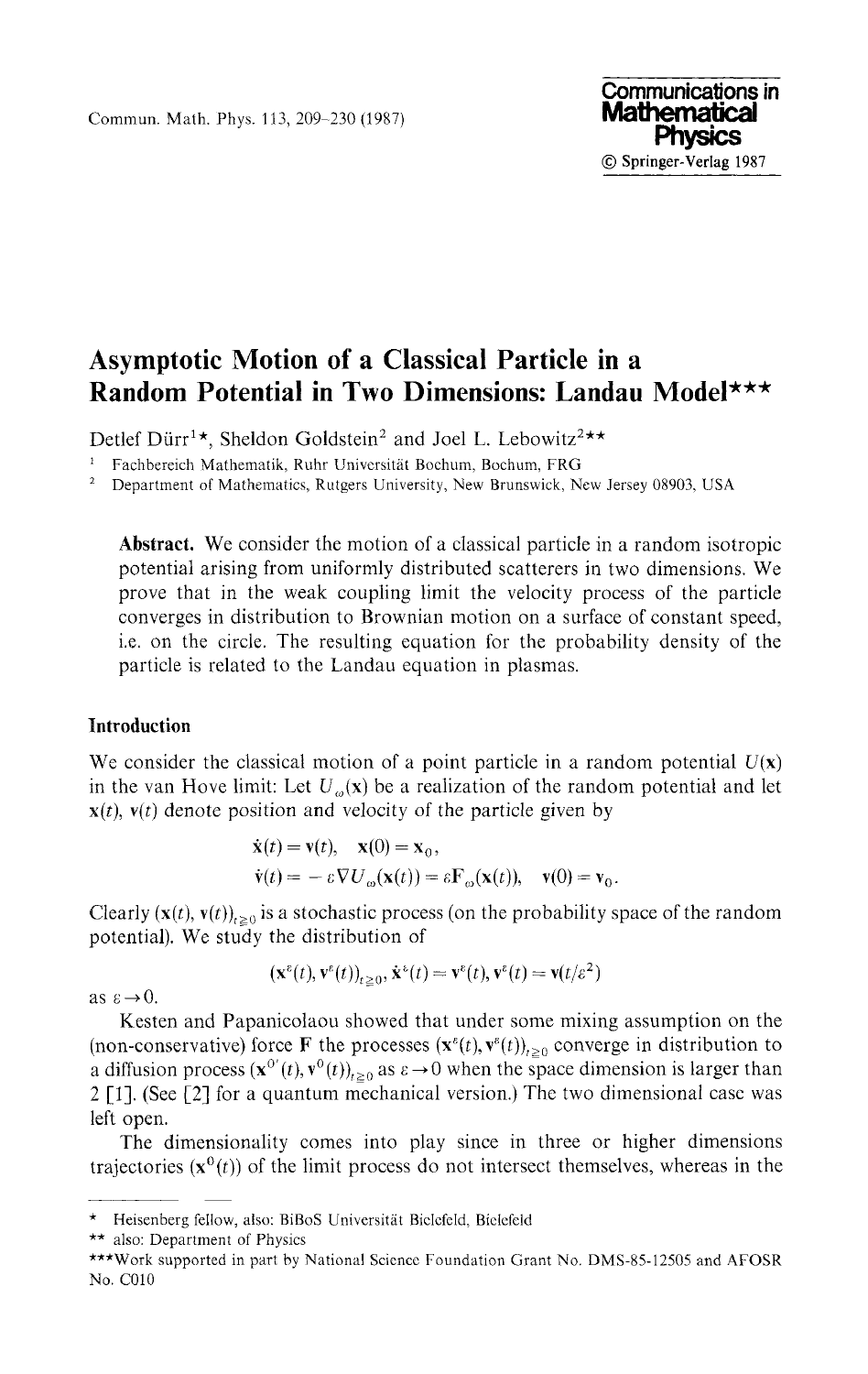Commun. Math. Phys. 113, 209-230 (1987)

# **Communications in Physics © Springer-Verlag 1987**

## **Asymptotic Motion of a Classical Particle in a Random Potential in Two Dimensions: Landau Model\*\*\***

Detlef Dürr<sup>1</sup>\*, Sheldon Goldstein<sup>2</sup> and Joel L. Lebowitz<sup>2\*\*</sup>

1 Fachbereich Mathematik, Ruhr Universitat Bochum, Bochum, FRG

2 Department of Mathematics, Rutgers University, New Brunswick, New Jersey 08903, USA

**Abstract.** We consider the motion of a classical particle in a random isotropic potential arising from uniformly distributed scatterers in two dimensions. We prove that in the weak coupling limit the velocity process of the particle converges in distribution to Brownian motion on a surface of constant speed, i.e. on the circle. The resulting equation for the probability density of the particle is related to the Landau equation in plasmas.

## **Introduction**

We consider the classical motion of a point particle in a random potential  $U(x)$ in the van Hove limit: Let  $U_{\alpha}(x)$  be a realization of the random potential and let  $x(t)$ ,  $v(t)$  denote position and velocity of the particle given by

$$
\dot{\mathbf{x}}(t) = \mathbf{v}(t), \quad \mathbf{x}(0) = \mathbf{x}_0,
$$
\n
$$
\dot{\mathbf{v}}(t) = - \varepsilon \nabla U_{\omega}(\mathbf{x}(t)) = \varepsilon \mathbf{F}_{\omega}(\mathbf{x}(t)), \quad \mathbf{v}(0) = \mathbf{v}_0.
$$

Clearly  $(\mathbf{x}(t), \mathbf{v}(t))_{t \geq 0}$  is a stochastic process (on the probability space of the random potential). We study the distribution of

$$
(\mathbf{x}^{\varepsilon}(t), \mathbf{v}^{\varepsilon}(t))_{t \geq 0}, \dot{\mathbf{x}}^{\varepsilon}(t) = \mathbf{v}^{\varepsilon}(t), \mathbf{v}^{\varepsilon}(t) = \mathbf{v}(t/\varepsilon^2)
$$

as  $\varepsilon \rightarrow 0$ .

Kesten and Papanicolaou showed that under some mixing assumption on the (non-conservative) force **F** the processes  $(x^{\epsilon}(t), y^{\epsilon}(t))_{t \geq 0}$  converge in distribution to a diffusion process  $(x^{\sigma}(t), v^{\sigma}(t))_{t \geq 0}$  as  $\varepsilon \to 0$  when the space dimension is larger than 2 [1]. (See [2] for a quantum mechanical version.) The two dimensional case was left open.

The dimensionality comes into play since in three or higher dimensions trajectories  $(\mathbf{x}^0(t))$  of the limit process do not intersect themselves, whereas in the

<sup>\*</sup> Heisenberg fellow, also: BiBoS Universitat Bielefeld, Bielefeld

<sup>\*\*</sup> also: Department of Physics

<sup>\*\*\*</sup>Work supported in part by National Science Foundation Grant No. DMS-85-12505 and AFOSR No. C010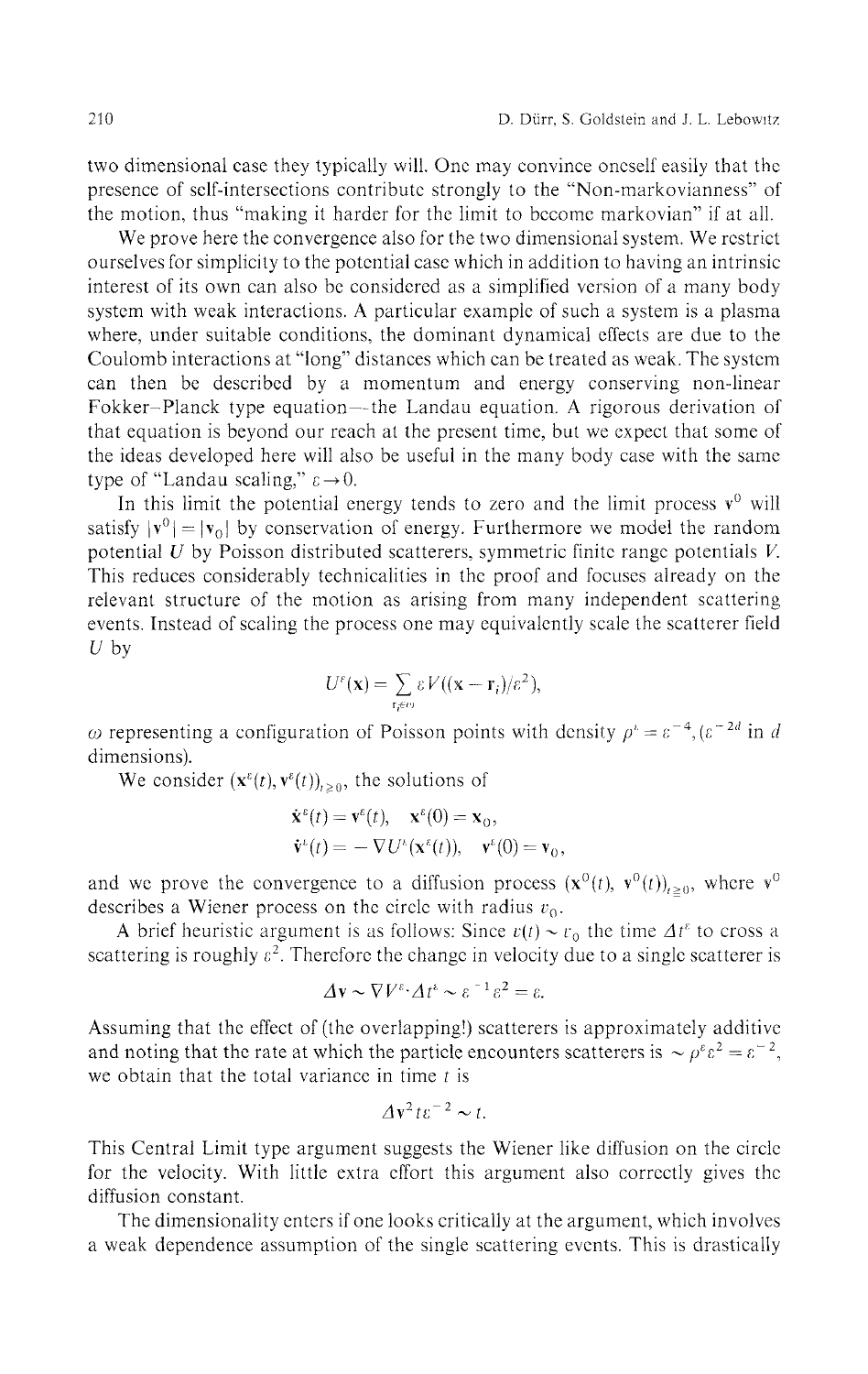two dimensional case they typically will. One may convince oneself easily that the presence of self-intersections contribute strongly to the "Non-markovianness" of the motion, thus "making it harder for the limit to become markovian" if at all.

We prove here the convergence also for the two dimensional system. We restrict ourselves for simplicity to the potential case which in addition to having an intrinsic interest of its own can also be considered as a simplified version of a many body system with weak interactions. A particular example of such a system is a plasma where, under suitable conditions, the dominant dynamical effects are due to the Coulomb interactions at "long" distances which can be treated as weak. The system can then be described by a momentum and energy conserving non-linear Fokker-Planck type equation—the Landau equation. A rigorous derivation of that equation is beyond our reach at the present time, but we expect that some of the ideas developed here will also be useful in the many body case with the same type of "Landau scaling,"  $\varepsilon \rightarrow 0$ .

In this limit the potential energy tends to zero and the limit process  $v^0$  will satisfy  $|v^0| = |v_0|$  by conservation of energy. Furthermore we model the random potential *U* by Poisson distributed scatterers, symmetric finite range potentials *V.* This reduces considerably technicalities in the proof and focuses already on the relevant structure of the motion as arising from many independent scattering events. Instead of scaling the process one may equivalently scale the scatterer field *Uby*

$$
U^{\varepsilon}(\mathbf{x}) = \sum_{\mathbf{r}_i \in \omega} \varepsilon V((\mathbf{x} - \mathbf{r}_i)/\varepsilon^2),
$$

representing a configuration of Poisson points with density  $\rho^i = \varepsilon^{-4}$ ,  $(\varepsilon^{-2d} \text{ in } d)$ dimensions).

We consider  $(\mathbf{x}^{\varepsilon}(t), \mathbf{v}^{\varepsilon}(t))_{t \geq 0}$ , the solutions of

$$
\dot{\mathbf{x}}^{\varepsilon}(t) = \mathbf{v}^{\varepsilon}(t), \quad \mathbf{x}^{\varepsilon}(0) = \mathbf{x}_0,
$$
  

$$
\dot{\mathbf{v}}^{\varepsilon}(t) = -\nabla U^{\varepsilon}(\mathbf{x}^{\varepsilon}(t)), \quad \mathbf{v}^{\varepsilon}(0) = \mathbf{v}_0,
$$

and we prove the convergence to a diffusion process  $(\mathbf{x}^0(t), \mathbf{v}^0(t))_{t \geq 0}$ , where  $\mathbf{v}^0$ describes a Wiener process on the circle with radius *v<sup>0</sup> .*

A brief heuristic argument is as follows: Since  $v(t) \sim v_0$  the time  $\Delta t^{\varepsilon}$  to cross a scattering is roughly *ε 2 .* Therefore the change in velocity due to a single scatterer is

$$
\Delta \mathbf{v} \sim \nabla V^{\varepsilon} \cdot \Delta t^{\varepsilon} \sim \varepsilon^{-1} \varepsilon^2 = \varepsilon.
$$

Assuming that the effect of (the overlapping!) scatterers is approximately additive and noting that the rate at which the particle encounters scatterers is  $\sim \rho^{\epsilon} \varepsilon^2 = \varepsilon^{-2}$ , we obtain that the total variance in time *t* is

$$
\Delta v^2 t \varepsilon^{-2} \sim t.
$$

This Central Limit type argument suggests the Wiener like diffusion on the circle for the velocity. With little extra effort this argument also correctly gives the diffusion constant.

The dimensionality enters if one looks critically at the argument, which involves a weak dependence assumption of the single scattering events. This is drastically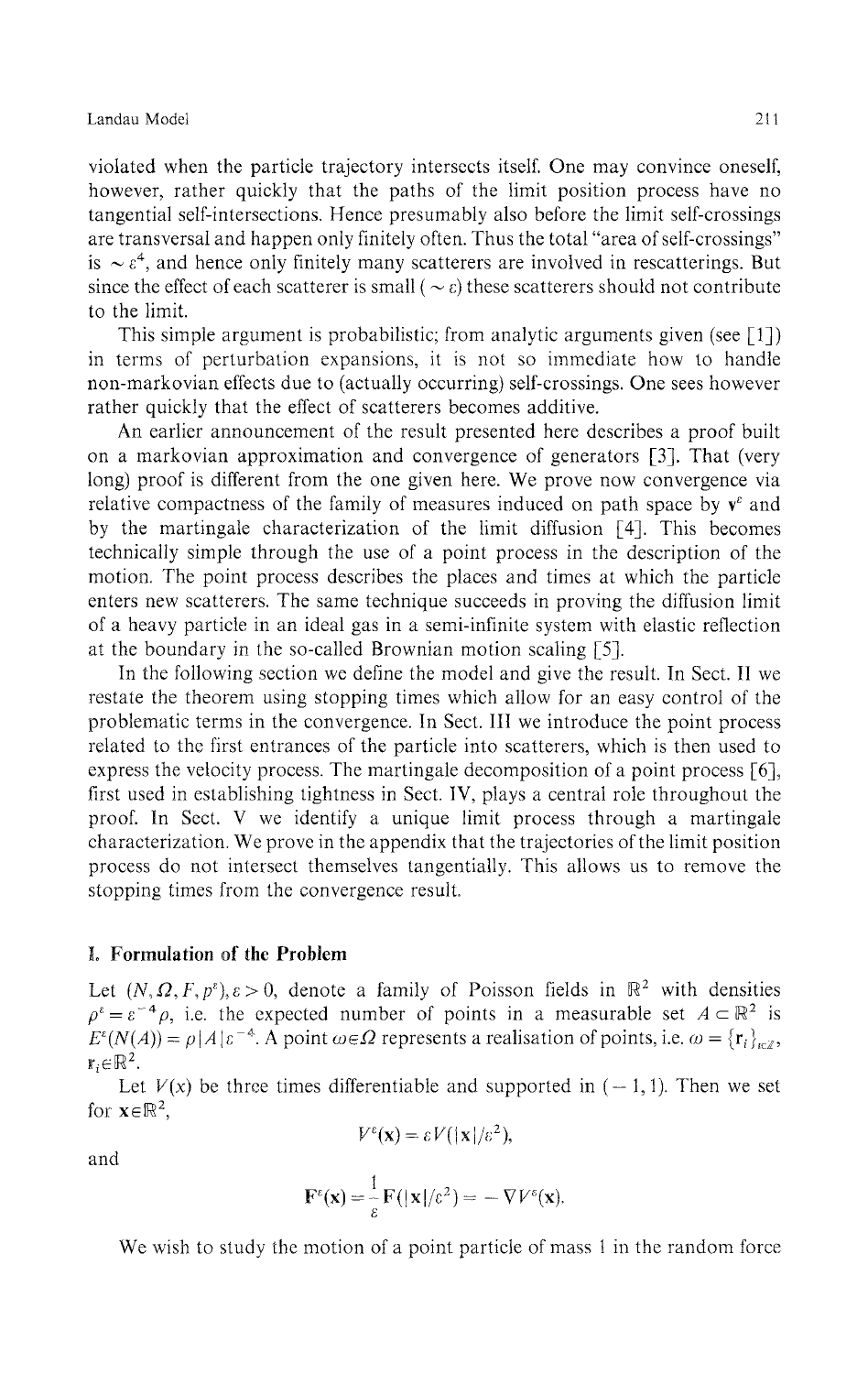violated when the particle trajectory intersects itself. One may convince oneself, however, rather quickly that the paths of the limit position process have no tangential self-intersections. Hence presumably also before the limit self-crossings are transversal and happen only finitely often. Thus the total "area of self-crossings" is  $\sim \varepsilon^4$ , and hence only finitely many scatterers are involved in rescatterings. But since the effect of each scatterer is small ( $\sim \varepsilon$ ) these scatterers should not contribute to the limit.

This simple argument is probabilistic; from analytic arguments given (see  $\lceil 1 \rceil$ ) in terms of perturbation expansions, it is not so immediate how to handle non-markovian effects due to (actually occurring) self-crossings. One sees however rather quickly that the effect of scatterers becomes additive.

An earlier announcement of the result presented here describes a proof built on a markovian approximation and convergence of generators [3]. That (very long) proof is different from the one given here. We prove now convergence via relative compactness of the family of measures induced on path space by  $v^{\epsilon}$  and by the martingale characterization of the limit diffusion [4]. This becomes technically simple through the use of a point process in the description of the motion. The point process describes the places and times at which the particle enters new scatterers. The same technique succeeds in proving the diffusion limit of a heavy particle in an ideal gas in a semi-infinite system with elastic reflection at the boundary in the so-called Brownian motion scaling [5].

In the following section we define the model and give the result. In Sect. **II** we restate the theorem using stopping times which allow for an easy control of the problematic terms in the convergence. In Sect. **Ill** we introduce the point process related to the first entrances of the particle into scatterers, which is then used to express the velocity process. The martingale decomposition of a point process [6], first used in establishing tightness in Sect. IV, plays a central role throughout the proof. In Sect. V we identify a unique limit process through a martingale characterization. We prove in the appendix that the trajectories of the limit position process do not intersect themselves tangentially. This allows us to remove the stopping times from the convergence result.

#### **I. Formulation of the Problem**

Let  $(N, \Omega, F, p^{\epsilon})$ ,  $\epsilon > 0$ , denote a family of Poisson fields in  $\mathbb{R}^2$  with densities  $\rho^{\varepsilon} = \varepsilon^{-4} \rho$ , i.e. the expected number of points in a measurable set  $A \subset \mathbb{R}^2$  is  $E^{\epsilon}(N(A)) = \rho |A|\epsilon^{-A}$ . A point  $\omega \in \Omega$  represents a realisation of points, i.e.  $\omega = {\{r_i\}}_{i \in \mathbb{Z}}$ ,  $\mathbf{r}_i \in \mathbb{R}^2$ .

Let  $V(x)$  be three times differentiable and supported in  $(-1, 1)$ . Then we set for  $\mathbf{x} \in \mathbb{R}^2$ ,

 $V^{\varepsilon}(\mathbf{x}) = \varepsilon V(|\mathbf{x}|/\varepsilon^2)$ 

and

$$
\mathbf{F}^{\varepsilon}(\mathbf{x}) = \frac{1}{\varepsilon} \mathbf{F}(|\mathbf{x}|/\varepsilon^2) = - \nabla V^{\varepsilon}(\mathbf{x}).
$$

We wish to study the motion of a point particle of mass 1 in the random force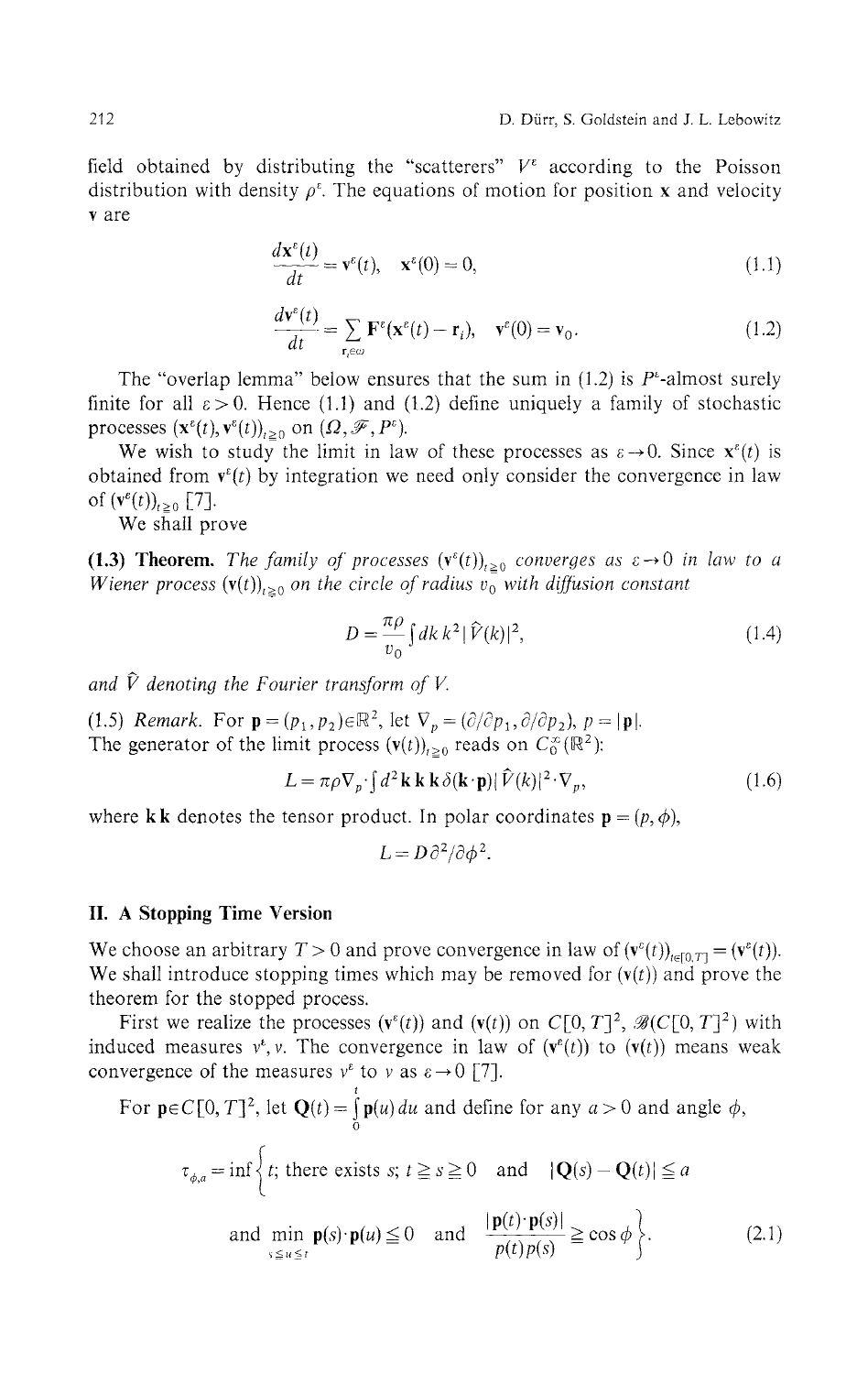field obtained by distributing the "scatterers"  $V^{\varepsilon}$  according to the Poisson distribution with density  $\rho^{\varepsilon}$ . The equations of motion for position x and velocity v are

$$
\frac{d\mathbf{x}^{\varepsilon}(t)}{dt} = \mathbf{v}^{\varepsilon}(t), \quad \mathbf{x}^{\varepsilon}(0) = 0,
$$
\n(1.1)

$$
\frac{d\mathbf{v}^{\epsilon}(t)}{dt} = \sum_{\mathbf{r}_{i}\in\omega} \mathbf{F}^{\epsilon}(\mathbf{x}^{\epsilon}(t) - \mathbf{r}_{i}), \quad \mathbf{v}^{\epsilon}(0) = \mathbf{v}_{0}. \tag{1.2}
$$

The "overlap lemma" below ensures that the sum in  $(1.2)$  is  $P^{\epsilon}$ -almost surely finite for all  $\varepsilon > 0$ . Hence (1.1) and (1.2) define uniquely a family of stochastic processes  $(\mathbf{x}^{\varepsilon}(t), \mathbf{v}^{\varepsilon}(t))_{t \geq 0}$  on  $(\Omega, \mathcal{F}, P^{\varepsilon})$ .

We wish to study the limit in law of these processes as  $\varepsilon \to 0$ . Since  $\mathbf{x}^{\varepsilon}(t)$  is obtained from  $\mathbf{v}^{\varepsilon}(t)$  by integration we need only consider the convergence in law of  $(\mathbf{v}^{\epsilon}(t))_{t\geq 0}$  [7].

We shall prove

**(1.3) Theorem.** The family of processes  $(v^{\epsilon}(t))_{t\geq0}$  converges as  $\varepsilon \rightarrow 0$  in law to a  $W$ iener process  $(\mathbf{v}(t))_{t\geq 0}$  on the circle of radius  $v_0^-$  with diffusion constant

$$
D = \frac{\pi \rho}{v_0} \int dk \, k^2 |\hat{V}(k)|^2,
$$
\n(1.4)

and  $\hat{V}$  denoting the Fourier transform of V.

(1.5) *Remark.* For  $\mathbf{p} = (p_1, p_2) \in \mathbb{R}^2$ , let  $\nabla_p = (\partial/\partial p_1, \partial/\partial p_2)$ ,  $p = |\mathbf{p}|$ . The generator of the limit process  $(v(t))_{t\geq0}$  reads on  $C_0^{\infty}(\mathbb{R}^2)$ :

$$
L = \pi \rho \nabla_p \cdot \int d^2 \mathbf{k} \, \mathbf{k} \, \delta(\mathbf{k} \cdot \mathbf{p}) |\hat{V}(k)|^2 \cdot \nabla_p, \tag{1.6}
$$

where **kk** denotes the tensor product. In polar coordinates  $\mathbf{p} = (p, \phi)$ ,

$$
L = D \partial^2 / \partial \phi^2.
$$

#### **II. A Stopping Time Version**

We choose an arbitrary  $T > 0$  and prove convergence in law of  $(v^{\epsilon}(t))_{t \in [0,T]} = (v^{\epsilon}(t))$ We shall introduce stopping times which may be removed for  $(v(t))$  and prove the theorem for the stopped process.

First we realize the processes  $(v^{\epsilon}(t))$  and  $(v(t))$  on  $C[0, T]^2$ ,  $\mathscr{B}(C[0, T]^2)$  with induced measures  $v^k$ ,  $v$ . The convergence in law of  $(v^{\varepsilon}(t))$  to  $(v(t))$  means weak convergence of the measures  $v^{\varepsilon}$  to v as  $\varepsilon \to 0$  [7].

For 
$$
\mathbf{p} \in C[0, T]^2
$$
, let  $\mathbf{Q}(t) = \int_0^t \mathbf{p}(u) du$  and define for any  $a > 0$  and angle  $\phi$ ,  
\n
$$
\tau_{\phi,a} = \inf \left\{ t; \text{ there exists } s; t \ge s \ge 0 \quad \text{and} \quad |\mathbf{Q}(s) - \mathbf{Q}(t)| \le a \right\}
$$
\nand  $\min_{s \le u \le t} \mathbf{p}(s) \cdot \mathbf{p}(u) \le 0$  and  $\frac{|\mathbf{p}(t) \cdot \mathbf{p}(s)|}{p(t)p(s)} \ge \cos \phi \right\}.$  (2.1)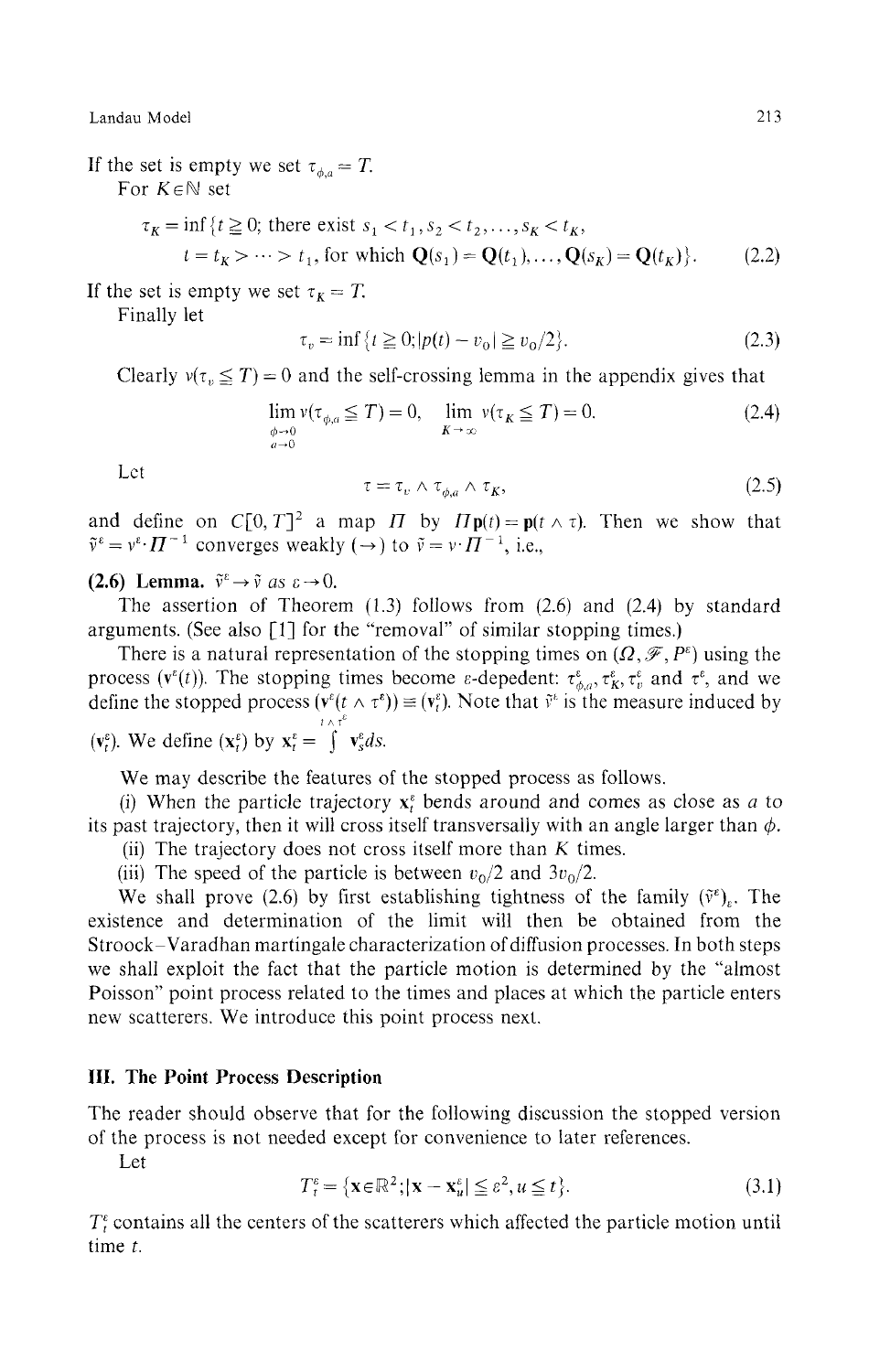If the set is empty we set  $\tau_{\phi,a} = T$ . For *KeN* set

$$
\tau_K = \inf \{ t \ge 0; \text{ there exist } s_1 < t_1, s_2 < t_2, \dots, s_K < t_K, \n t = t_K > \dots > t_1, \text{ for which } \mathbf{Q}(s_1) = \mathbf{Q}(t_1), \dots, \mathbf{Q}(s_K) = \mathbf{Q}(t_K) \}. \tag{2.2}
$$

If the set is empty we set  $\tau_K = T$ .

Finally let

$$
\tau_v = \inf \{ t \ge 0; |p(t) - v_0| \ge v_0/2 \}. \tag{2.3}
$$

Clearly  $v(\tau_v \leq T) = 0$  and the self-crossing lemma in the appendix gives that

$$
\lim_{\phi \to 0 \atop K \to 0} v(\tau_{\phi,a} \le T) = 0, \quad \lim_{K \to \infty} v(\tau_K \le T) = 0. \tag{2.4}
$$

Let

$$
\tau = \tau_v \wedge \tau_{\phi,a} \wedge \tau_K, \tag{2.5}
$$

and define on  $C[0, T]^2$  a map  $\Pi$  by  $\Pi$ **p**(*t*) = **p**( $t \wedge \tau$ ). Then we show that  $\tilde{v}^{\varepsilon} = v^{\varepsilon} \cdot H^{-1}$  converges weakly ( $\rightarrow$ ) to  $\tilde{v} = v \cdot H^{-1}$ , i.e.,

**(2.6)** Lemma.  $\tilde{v}^{\varepsilon} \rightarrow \tilde{v}$  as  $\varepsilon \rightarrow 0$ .

The assertion of Theorem (1.3) follows from (2.6) and (2.4) by standard arguments. (See also [1] for the "removal" of similar stopping times.)

There is a natural representation of the stopping times on  $(\Omega, \mathscr{F}, P^{\varepsilon})$  using the process ( $\mathbf{v}^{\varepsilon}(t)$ ). The stopping times become *ε*-depedent:  $\tau^{\varepsilon}_{\phi,a}, \tau^{\varepsilon}_{K}, \tau^{\varepsilon}_{v}$  and  $\tau^{\varepsilon}$ , and we define the stopped process  $(\mathbf{v}^{\varepsilon}(t \wedge \tau^{\varepsilon})) \equiv (\mathbf{v}^{\varepsilon}_{t})$ . Note that  $\tilde{\mathbf{v}}^{\varepsilon}$  is the measure induced by *ι*  $Λ$  τ<sup>ε</sup>

$$
(\mathbf{v}_t^{\varepsilon})
$$
. We define  $(\mathbf{x}_t^{\varepsilon})$  by  $\mathbf{x}_t^{\varepsilon} = \int \mathbf{v}_s^{\varepsilon} ds$ .

We may describe the features of the stopped process as follows.

(i) When the particle trajectory  $x_t^s$  bends around and comes as close as *a* to its past trajectory, then it will cross itself transversally with an angle larger than *φ.*

(ii) The trajectory does not cross itself more than *K* times.

(iii) The speed of the particle is between  $v_0/2$  and  $3v_0/2$ .

We shall prove (2.6) by first establishing tightness of the family  $(\tilde{v}^{\varepsilon})$ . The existence and determination of the limit will then be obtained from the Stroock-Varadhan martingale characterization of diffusion processes. In both steps we shall exploit the fact that the particle motion is determined by the "almost Poisson" point process related to the times and places at which the particle enters new scatterers. We introduce this point process next.

### **III. The Point Process Description**

The reader should observe that for the following discussion the stopped version of the process is not needed except for convenience to later references.

Let

$$
T_t^{\varepsilon} = \{ \mathbf{x} \in \mathbb{R}^2; |\mathbf{x} - \mathbf{x}_u^{\varepsilon}| \le \varepsilon^2, u \le t \}. \tag{3.1}
$$

 $T_t^{\epsilon}$  contains all the centers of the scatterers which affected the particle motion until time *t.*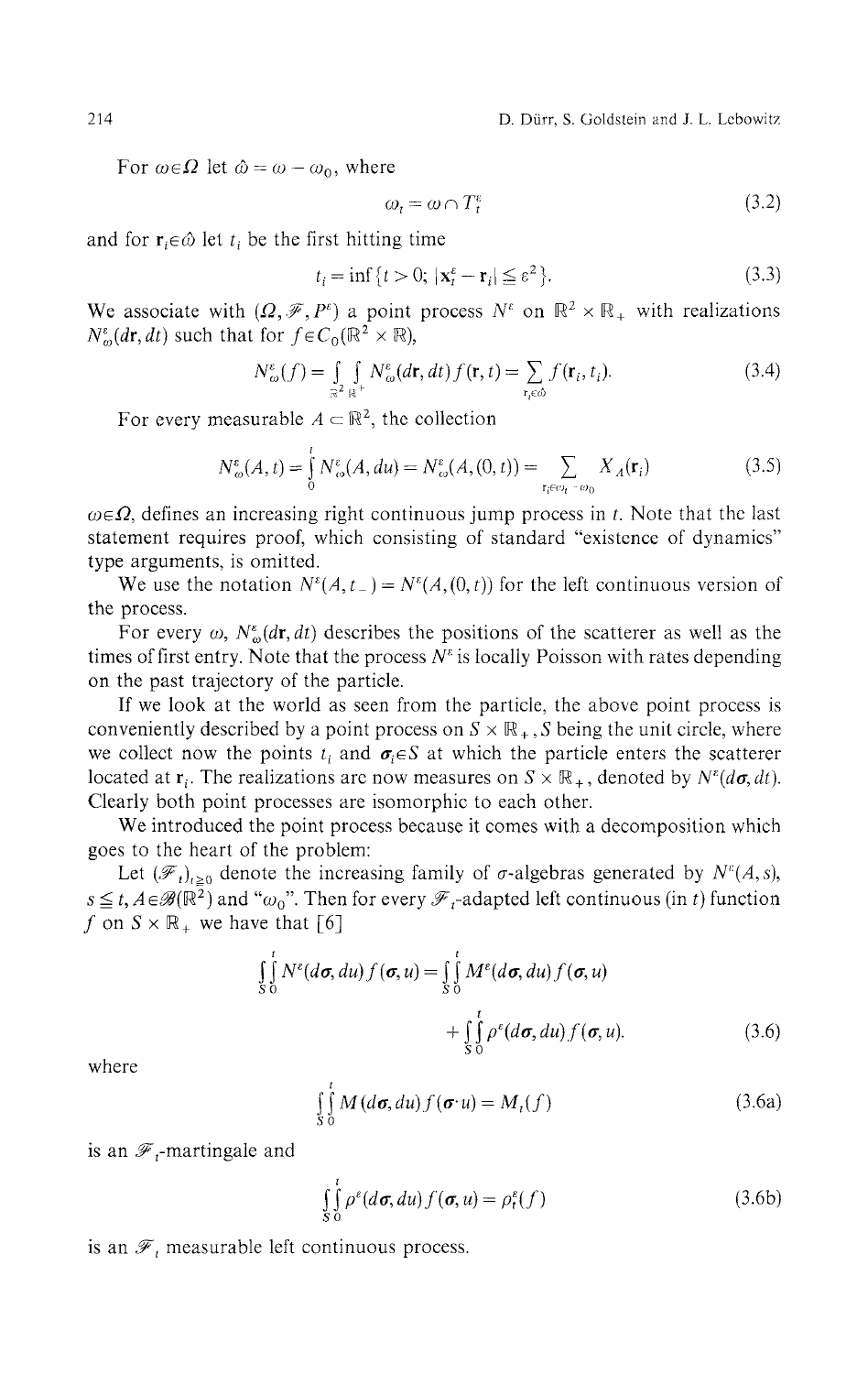214 D. Durr, S. Goldstein and J. L. Lcbowitz

For  $\omega \in \Omega$  let  $\hat{\omega} = \omega - \omega_0$ , where

$$
\omega_t = \omega \cap T_t^{\varepsilon} \tag{3.2}
$$

and for  $\mathbf{r}_i \in \hat{\omega}$  let  $t_i$  be the first hitting time

$$
t_i = \inf\left\{t > 0; \, |\mathbf{x}_t^{\varepsilon} - \mathbf{r}_i| \leq \varepsilon^2\right\}.\tag{3.3}
$$

We associate with  $(\Omega, \mathcal{F}, P^{\varepsilon})$  a point process  $N^{\varepsilon}$  on  $\mathbb{R}^2 \times \mathbb{R}_+$  with realizations  $N_{\omega}^{\varepsilon}(d\mathbf{r}, dt)$  such that for  $f \in C_0(\mathbb{R}^2 \times \mathbb{R})$ ,

$$
N_{\omega}^{\varepsilon}(f) = \int_{\mathbb{R}^2} \int_{\mathbb{R}^+} N_{\omega}^{\varepsilon}(d\mathbf{r}, dt) f(\mathbf{r}, t) = \sum_{\mathbf{r}_i \in \omega} f(\mathbf{r}_i, t_i).
$$
 (3.4)

For every measurable  $A \subset \mathbb{R}^2$ , the collection

$$
N_{\omega}^{\varepsilon}(A, t) = \int_{0}^{t} N_{\omega}^{\varepsilon}(A, du) = N_{\omega}^{\varepsilon}(A, (0, t)) = \sum_{\mathbf{r}_{i} \in \omega_{t} - \omega_{0}} X_{A}(\mathbf{r}_{i})
$$
(3.5)

*ωeΩ,* defines an increasing right continuous jump process in *t.* Note that the last statement requires proof, which consisting of standard "existence of dynamics" type arguments, is omitted.

We use the notation  $N^{\varepsilon}(A, t_{-}) = N^{\varepsilon}(A, (0, t))$  for the left continuous version of the process.

For every  $\omega$ ,  $N^{\varepsilon}_{\omega}(d\mathbf{r},dt)$  describes the positions of the scatterer as well as the times of first entry. Note that the process  $N^{\varepsilon}$  is locally Poisson with rates depending on the past trajectory of the particle.

If we look at the world as seen from the particle, the above point process is conveniently described by a point process on  $S \times \mathbb{R}_+$ , S being the unit circle, where we collect now the points  $t_i$  and  $\sigma_i \in S$  at which the particle enters the scatterer located at  $\mathbf{r}_i$ . The realizations are now measures on  $S \times \mathbb{R}_+$ , denoted by  $N^{\varepsilon}(d\sigma, dt)$ . Clearly both point processes are isomorphic to each other.

We introduced the point process because it comes with a decomposition which goes to the heart of the problem:

Let  $(\mathscr{F}_t)_{t\geq 0}$  denote the increasing family of  $\sigma$ -algebras generated by  $N^{\varepsilon}(A,s)$ ,  $s \le t$ ,  $A \in \mathscr{B}(\mathbb{R}^2)$  and " $\omega_0$ ". Then for every  $\mathscr{F}_t$ -adapted left continuous (in *t*) function f on  $S \times \mathbb{R}_+$  we have that [6]

$$
\int_{S}^{t} N^{\varepsilon}(d\sigma, du) f(\sigma, u) = \int_{S}^{t} M^{\varepsilon}(d\sigma, du) f(\sigma, u) \n+ \int_{S}^{t} \rho^{\varepsilon}(d\sigma, du) f(\sigma, u).
$$
\n(3.6)

where

$$
\int_{S_0}^{t} M(d\sigma, du) f(\sigma \cdot u) = M_t(f)
$$
\n(3.6a)

is an  $\mathscr{F}_t$ -martingale and

$$
\int_{S_0}^{t} \rho^{\varepsilon}(d\sigma, du) f(\sigma, u) = \rho_t^{\varepsilon}(f)
$$
\n(3.6b)

is an  $\mathscr{F}_t$  measurable left continuous process.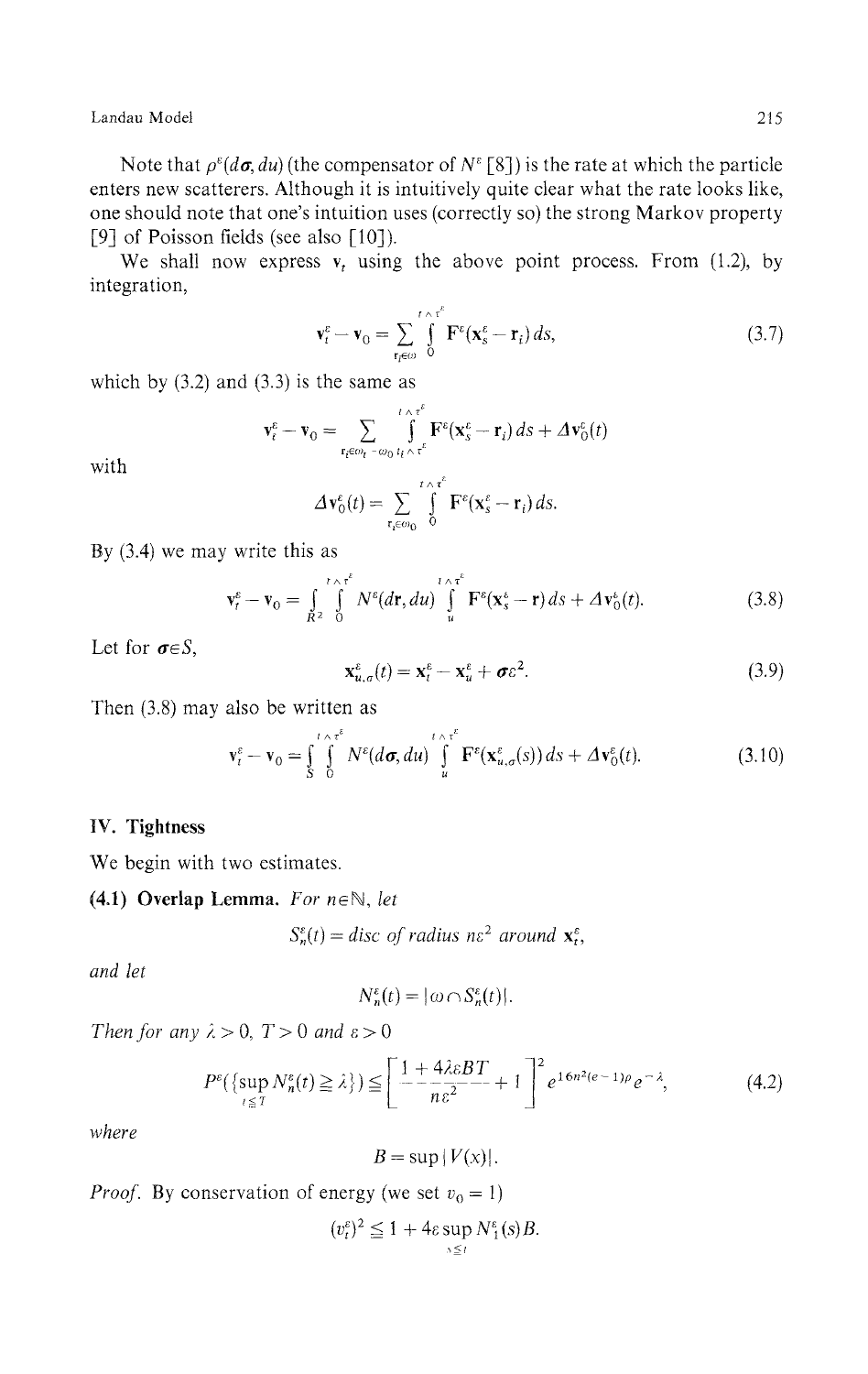Note that  $\rho^{\epsilon}(d\sigma,du)$  (the compensator of  $N^{\epsilon}$  [8]) is the rate at which the particle enters new scatterers. Although it is intuitively quite clear what the rate looks like, one should note that one's intuition uses (correctly so) the strong Markov property [9] of Poisson fields (see also [10]).

We shall now express  $\bf{v}$ , using the above point process. From (1.2), by integration,

$$
\mathbf{v}_t^{\varepsilon} - \mathbf{v}_0 = \sum_{\mathbf{r}_t \in \omega} \int_0^{t \wedge \tau^{\varepsilon}} \mathbf{F}^{\varepsilon}(\mathbf{x}_s^{\varepsilon} - \mathbf{r}_t) ds,
$$
 (3.7)

which by (3.2) and (3.3) is the same as

$$
\mathbf{v}_t^{\varepsilon} - \mathbf{v}_0 = \sum_{\mathbf{r}_t \in \omega_t - \omega_0} \int_{t_i \wedge \tau^{\varepsilon}}^{t \wedge \tau^{\varepsilon}} \mathbf{F}^{\varepsilon}(\mathbf{x}_s^{\varepsilon} - \mathbf{r}_i) \, ds + \Delta \mathbf{v}_0^{\varepsilon}(t)
$$

with

$$
\Delta \mathbf{v}_0^{\varepsilon}(t) = \sum_{\mathbf{r}_i \in \omega_0} \int\limits_0^{t \wedge \tau^{\varepsilon}} \mathbf{F}^{\varepsilon}(\mathbf{x}_s^{\varepsilon} - \mathbf{r}_i) ds
$$

By (3.4) we may write this as

$$
\mathbf{v}_t^{\varepsilon} - \mathbf{v}_0 = \int\limits_{R^2} \int\limits_0^{t \wedge \tau^{\varepsilon}} N^{\varepsilon} (d\mathbf{r}, du) \int\limits_u^{t \wedge \tau^{\varepsilon}} \mathbf{F}^{\varepsilon} (\mathbf{x}_s^{\varepsilon} - \mathbf{r}) ds + \varDelta \mathbf{v}_0^{\varepsilon}(t). \tag{3.8}
$$

Let for *σeS,*

$$
\mathbf{x}_{u,\sigma}^{\varepsilon}(t) = \mathbf{x}_t^{\varepsilon} - \mathbf{x}_u^{\varepsilon} + \boldsymbol{\sigma}\varepsilon^2. \tag{3.9}
$$

Then (3.8) may also be written as

$$
\mathbf{v}_t^{\varepsilon} - \mathbf{v}_0 = \int_S^t \int_0^{t \wedge \tau^{\varepsilon}} N^{\varepsilon}(d\sigma, du) \int_u^{t \wedge \tau^{\varepsilon}} \mathbf{F}^{\varepsilon}(\mathbf{x}_{u,\sigma}^{\varepsilon}(s)) ds + \Delta \mathbf{v}_0^{\varepsilon}(t).
$$
 (3.10)

## **IV. Tightness**

We begin with two estimates.

## **(4.1) Overlap Lemma.** *For neN, let*

$$
S_n^{\varepsilon}(t) = \text{disc of radius } n\varepsilon^2 \text{ around } \mathbf{x}_t^{\varepsilon},
$$

*and let*

$$
N_n^{\varepsilon}(t) = |\omega \cap S_n^{\varepsilon}(t)|
$$

*Then for any*  $\lambda > 0$ ,  $T > 0$  *and*  $\epsilon > 0$ 

$$
P^{\varepsilon}\left(\left\{\sup_{t\leq T} N_n^{\varepsilon}(t)\geq \lambda\right\}\right) \leq \left[\frac{1+4\lambda \varepsilon BT}{n\varepsilon^2}+1\right]^2 e^{16n^2(e-1)\rho}e^{-\lambda},\tag{4.2}
$$

*where*

$$
B = \sup |V(x)|.
$$

*Proof.* By conservation of energy (we set  $v_0 = 1$ )

$$
(v_t^{\varepsilon})^2 \leq 1 + 4\varepsilon \sup_{s \leq t} N_1^{\varepsilon}(s)B.
$$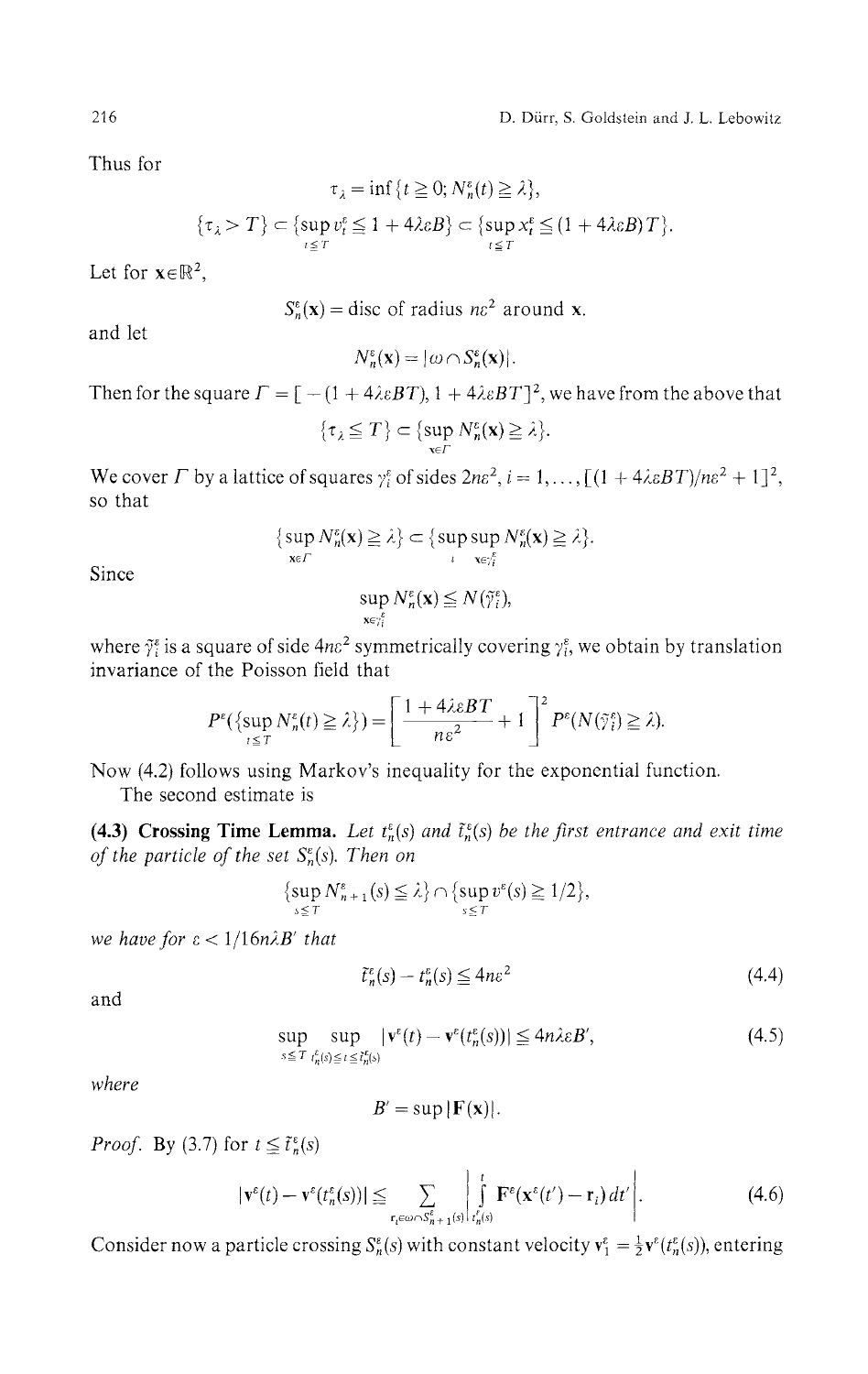Thus for

$$
\tau_{\lambda} = \inf \{ t \ge 0; N_n^{\varepsilon}(t) \ge \lambda \},
$$
  

$$
\{\tau_{\lambda} > T\} \subset \{ \sup_{t \le T} v_t^{\varepsilon} \le 1 + 4\lambda \varepsilon B \} \subset \{ \sup_{t \le T} x_t^{\varepsilon} \le (1 + 4\lambda \varepsilon B) T \}.
$$

Let for  $x \in \mathbb{R}^2$ ,

 $S_n^{\varepsilon}(\mathbf{x}) =$  disc of radius  $n\varepsilon^2$  around **x**.

and let

 $N_n^{\varepsilon}(\mathbf{x}) = |\omega \cap S_n^{\varepsilon}(\mathbf{x})|.$ 

Then for the square  $\Gamma = [ -(1 + 4\lambda \varepsilon BT), 1 + 4\lambda \varepsilon BT]^2$ , we have from the above that

$$
\{\tau_{\lambda} \leq T\} \subset \{\sup_{\mathbf{x} \in \Gamma} N_n^{\varepsilon}(\mathbf{x}) \geq \lambda\}.
$$

We cover  $\Gamma$  by a lattice of squares  $\gamma_i^e$  of sides  $2n\epsilon^2$ ,  $i = 1, ..., [(1 + 4\lambda \epsilon BT)/n\epsilon^2 + 1]^2$ , so that

$$
\{\sup_{\mathbf{x}\in\Gamma}N_n^{\varepsilon}(\mathbf{x})\geq\lambda\}\subset\{\sup_{\iota}\sup_{\mathbf{x}\in\gamma_i^{\varepsilon}}N_n^{\varepsilon}(\mathbf{x})\geq\lambda\}.
$$

Since

$$
\sup_{\mathbf{x}\in\gamma_i^\varepsilon}N_n^\varepsilon(\mathbf{x})\leq N(\tilde{\gamma}_i^\varepsilon),
$$

where  $\tilde{\gamma}_i^{\epsilon}$  is a square of side 4n $\epsilon^2$  symmetrically covering  $\gamma_i^{\epsilon}$ , we obtain by translation invariance of the Poisson field that

$$
P^{\varepsilon}\left(\{\sup_{t\leq T}N_n^{\varepsilon}(t)\geq \lambda\right\}\right)=\left[\frac{1+4\lambda\varepsilon BT}{n\varepsilon^2}+1\right]^2 P^{\varepsilon}(N(\tilde{\gamma}_i^{\varepsilon})\geq \lambda).
$$

Now (4.2) follows using Markov's inequality for the exponential function.

The second estimate is

**(4.3) Crossing Time Lemma.** Let  $t_n^{\varepsilon}(s)$  and  $\tilde{t}_n^{\varepsilon}(s)$  be the first entrance and exit time *of the particle of the set*  $S_n^{\varepsilon}(s)$ *. Then on* 

$$
\{\sup_{s\leq T}N_{n+1}^{\varepsilon}(s)\leq\lambda\}\cap\{\sup_{s\leq T}v^{\varepsilon}(s)\geq 1/2\},\
$$

*we have for ε < l/16nλB' that*

$$
\tilde{t}_n^{\varepsilon}(s) - t_n^{\varepsilon}(s) \le 4n\varepsilon^2 \tag{4.4}
$$

and

$$
\sup_{s \le T} \sup_{t_n^{\varepsilon}(s) \le t \le \tilde{t}_n^{\varepsilon}(s)} |v^{\varepsilon}(t) - v^{\varepsilon}(t_n^{\varepsilon}(s))| \le 4n\lambda \varepsilon B', \tag{4.5}
$$

*where*

$$
B'=\sup|F(\mathbf{x})|.
$$

*Proof.* By (3.7) for  $t \leq \tilde{t}_n^{\varepsilon}(s)$ 

$$
|\mathbf{v}^{\varepsilon}(t)-\mathbf{v}^{\varepsilon}(t_n^{\varepsilon}(s))| \leq \sum_{\mathbf{r}_t \in \omega \cap S_n^{\varepsilon} + \mathbf{1}^{(s)}} \left| \int_{t_n^{\prime}(s)}^t \mathbf{F}^{\varepsilon}(\mathbf{x}^{\varepsilon}(t') - \mathbf{r}_i) dt' \right|.
$$
 (4.6)

Consider now a particle crossing  $S_n^s(s)$  with constant velocity  $\mathbf{v}^{\varepsilon}_1 = \frac{1}{2} \mathbf{v}^{\varepsilon}(t_n^s(s))$ , entering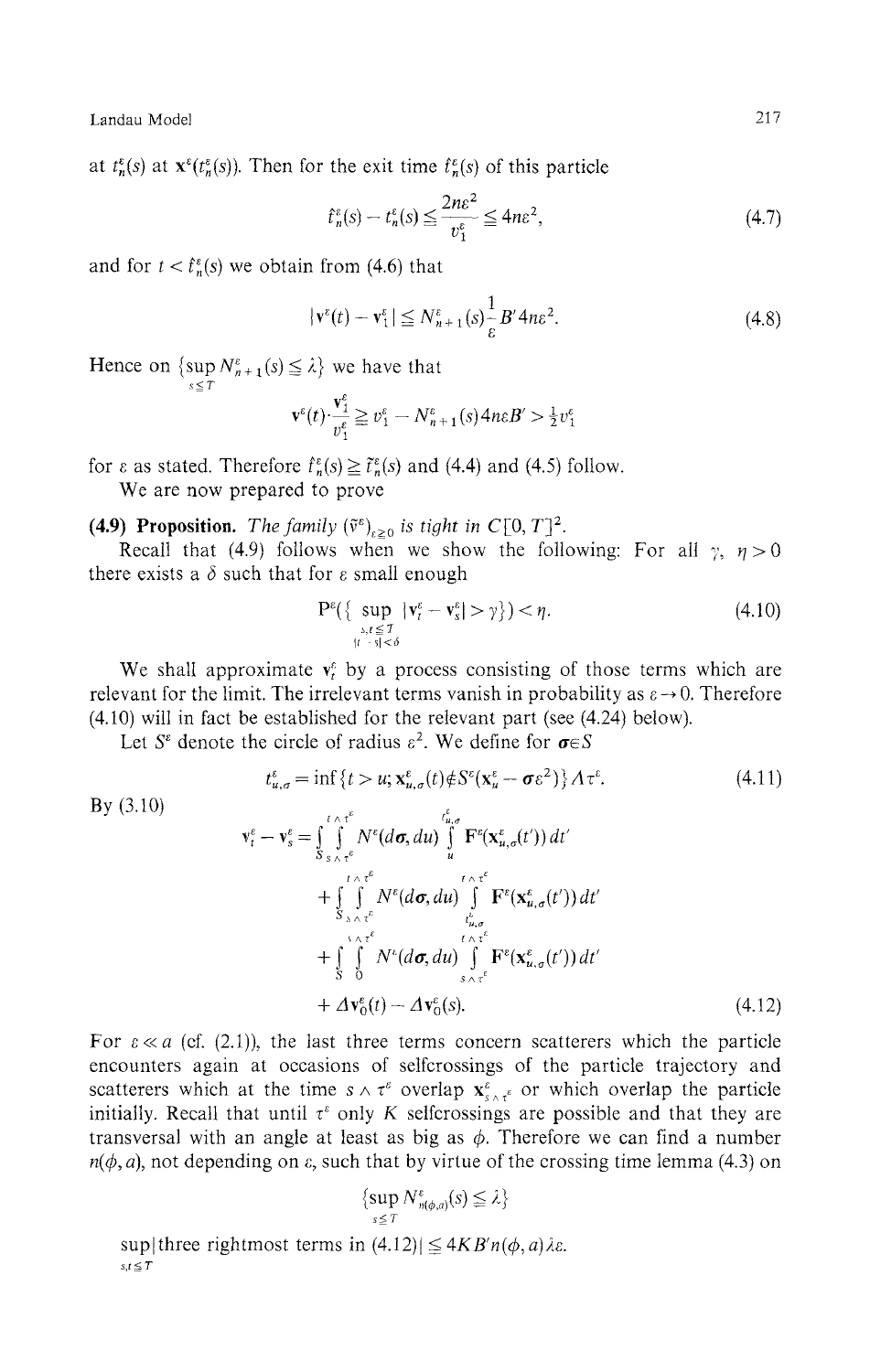at  $t_n^{\varepsilon}(s)$  at  $\mathbf{x}^{\varepsilon}(t_n^{\varepsilon}(s))$ . Then for the exit time  $\hat{t}_n^{\varepsilon}(s)$  of this particle

$$
\hat{t}_n^{\varepsilon}(s) - t_n^{\varepsilon}(s) \le \frac{2n\varepsilon^2}{v_1^{\varepsilon}} \le 4n\varepsilon^2,\tag{4.7}
$$

and for  $t < \hat{t}_n^{\varepsilon}(s)$  we obtain from (4.6) that

$$
|\mathbf{v}^{\varepsilon}(t) - \mathbf{v}^{\varepsilon}_1| \le N_{n+1}^{\varepsilon}(s) \frac{1}{\varepsilon} B' 4n\varepsilon^2.
$$
 (4.8)

Hence on  $\{\sup_{s\leq T} N_{n+1}^{\varepsilon}(s) \leq \lambda\}$  we have that

$$
\mathbf{v}^{\varepsilon}(t)\cdot\frac{\mathbf{v}^{\varepsilon}_{1}}{v^{\varepsilon}_{1}} \geq v^{\varepsilon}_{1} - N^{\varepsilon}_{n+1}(s) 4n\varepsilon B' > \frac{1}{2}v^{\varepsilon}_{1}
$$

for  $\varepsilon$  as stated. Therefore  $\hat{f}_n^{\varepsilon}(s) \geq \tilde{f}_n^{\varepsilon}(s)$  and (4.4) and (4.5) follow.

We are now prepared to prove

**(4.9) Proposition.** The family  $(\tilde{v}^{\varepsilon})_{\varepsilon \geq 0}$  is tight in C[0, T]<sup>2</sup>.

Recall that (4.9) follows when we show the following: For all  $\gamma$ ,  $\eta > 0$ there exists a  $\delta$  such that for  $\varepsilon$  small enough

$$
\mathbf{P}^{\varepsilon}\left\{\sup_{\substack{s,t \leq T \\ |t-s| < \delta}} |\mathbf{v}_t^{\varepsilon} - \mathbf{v}_s^{\varepsilon}| > \gamma \right\} \right\} < \eta. \tag{4.10}
$$

We shall approximate  $v_t^{\varepsilon}$  by a process consisting of those terms which are relevant for the limit. The irrelevant terms vanish in probability as  $\varepsilon \to 0$ . Therefore (4.10) will in fact be established for the relevant part (see (4.24) below).

Let  $S^{\varepsilon}$  denote the circle of radius  $\varepsilon^2$ . We define for  $\sigma \in S$ 

$$
t_{u,\sigma}^{\varepsilon} = \inf \left\{ t > u; \mathbf{x}_{u,\sigma}^{\varepsilon}(t) \notin S^{\varepsilon}(\mathbf{x}_{u}^{\varepsilon} - \boldsymbol{\sigma} \varepsilon^{2}) \right\} A \tau^{\varepsilon}.
$$
 (4.11)

By (3.10)  
\n
$$
\mathbf{v}_{t}^{\varepsilon} - \mathbf{v}_{s}^{\varepsilon} = \int_{S}^{t} \int_{s \wedge \tau^{\varepsilon}}^{t} N^{\varepsilon} (d\sigma, du) \int_{u}^{t_{u,\sigma}} \mathbf{F}^{\varepsilon} (\mathbf{x}_{u,\sigma}^{\varepsilon}(t')) dt' + \int_{S}^{t} \int_{s \wedge \tau^{\varepsilon}}^{t \wedge \tau^{\varepsilon}} N^{\varepsilon} (d\sigma, du) \int_{t_{u,\sigma}}^{t \wedge \tau^{\varepsilon}} \mathbf{F}^{\varepsilon} (\mathbf{x}_{u,\sigma}^{\varepsilon}(t')) dt' + \int_{S}^{t} \int_{0}^{t} N^{\varepsilon} (d\sigma, du) \int_{s \wedge \tau^{\varepsilon}}^{t \wedge \tau^{\varepsilon}} \mathbf{F}^{\varepsilon} (\mathbf{x}_{u,\sigma}^{\varepsilon}(t')) dt' + \Delta \mathbf{v}_{0}^{\varepsilon}(t) - \Delta \mathbf{v}_{0}^{\varepsilon}(s).
$$
\n(4.12)

For  $\varepsilon \ll a$  (cf. (2.1)), the last three terms concern scatterers which the particle encounters again at occasions of selfcrossings of the particle trajectory and scatterers which at the time  $s \wedge \tau^{\varepsilon}$  overlap  $\mathbf{x}_{s \wedge \tau^{\varepsilon}}^{\varepsilon}$  or which overlap the particle initially. Recall that until  $\tau^{\epsilon}$  only K selfcrossings are possible and that they are transversal with an angle at least as big as *φ.* Therefore we can find a number  $n(\phi, a)$ , not depending on  $\varepsilon$ , such that by virtue of the crossing time lemma (4.3) on

$$
\{\sup_{s\leq T}N_{n(\phi,a)}^{\varepsilon}(s)\leq\lambda\}
$$

sup three rightmost terms in  $(4.12)$   $\leq$   $4KB'n(\phi,a)\lambda\varepsilon$ .  $s,t \leq T$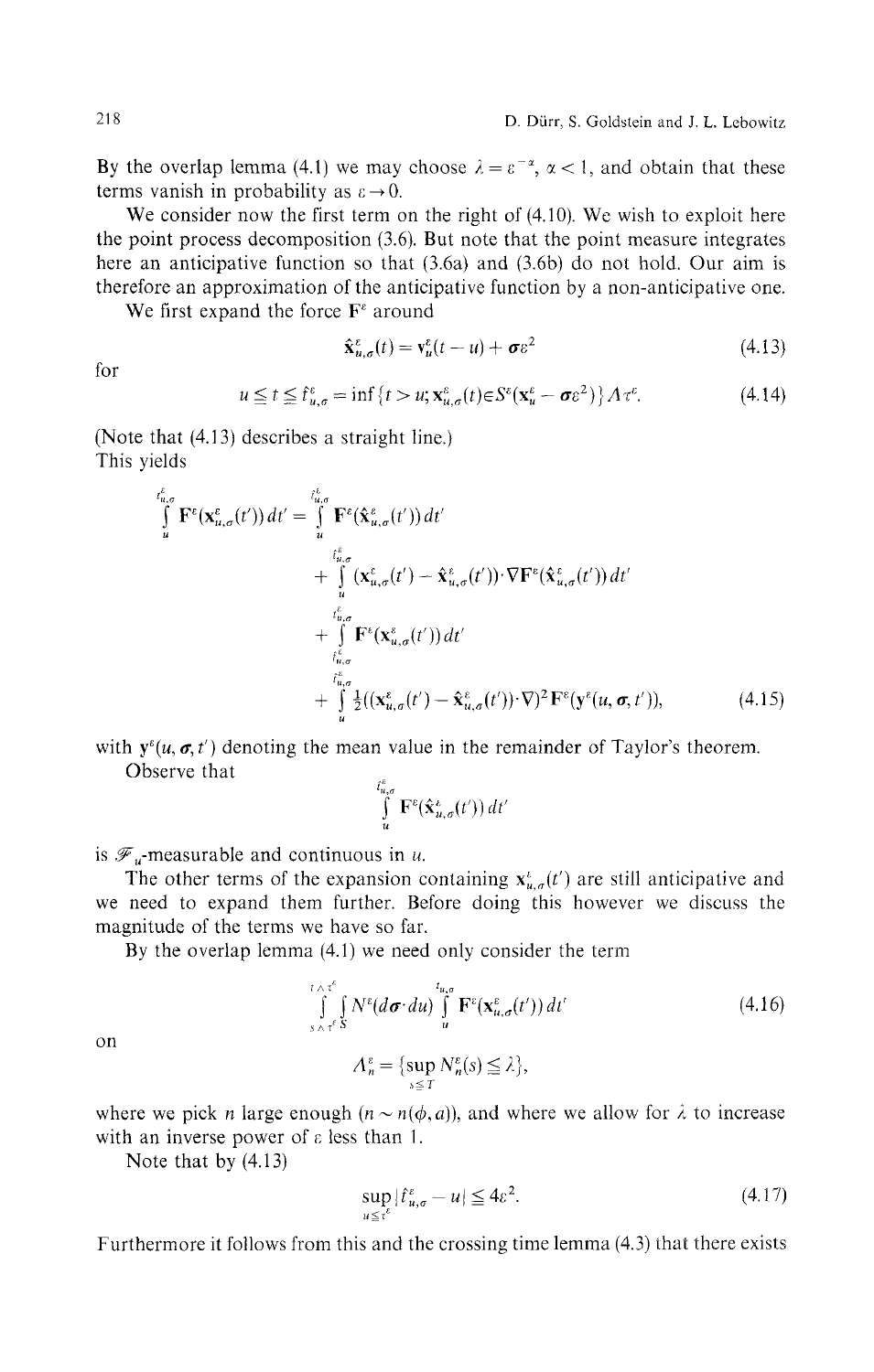By the overlap lemma (4.1) we may choose  $\lambda = \varepsilon^{-\alpha}$ ,  $\alpha < 1$ , and obtain that these terms vanish in probability as  $\varepsilon \rightarrow 0$ .

We consider now the first term on the right of  $(4.10)$ . We wish to exploit here the point process decomposition (3.6). But note that the point measure integrates here an anticipative function so that (3.6a) and (3.6b) do not hold. Our aim is therefore an approximation of the anticipative function by a non-anticipative one.

We first expand the force  $\mathbf{F}^{\varepsilon}$  around

$$
\hat{\mathbf{x}}_{u,\sigma}^{\varepsilon}(t) = \mathbf{v}_u^{\varepsilon}(t-u) + \boldsymbol{\sigma}\varepsilon^2
$$
\n(4.13)

for

$$
u \le t \le t_{u,\sigma}^{\varepsilon} = \inf\left\{t > u; \mathbf{x}_{u,\sigma}^{\varepsilon}(t) \in S^{\varepsilon}(\mathbf{x}_{u}^{\varepsilon} - \boldsymbol{\sigma}\varepsilon^{2})\right\} A \tau^{\varepsilon}.
$$
 (4.14)

(Note that (4.13) describes a straight line.) This yields

$$
\int_{u}^{\ell_{u,\sigma}^{s}} \mathbf{F}^{\varepsilon}(\mathbf{x}_{u,\sigma}^{\varepsilon}(t')) dt' = \int_{u}^{\ell_{u,\sigma}^{s}} \mathbf{F}^{\varepsilon}(\hat{\mathbf{x}}_{u,\sigma}^{\varepsilon}(t')) dt' \n+ \int_{u}^{\ell_{u,\sigma}^{s}} (\mathbf{x}_{u,\sigma}^{\varepsilon}(t') - \hat{\mathbf{x}}_{u,\sigma}^{\varepsilon}(t')) \cdot \nabla \mathbf{F}^{\varepsilon}(\hat{\mathbf{x}}_{u,\sigma}^{\varepsilon}(t')) dt' \n+ \int_{\ell_{u,\sigma}^{s}}^{\ell_{u,\sigma}^{s}} \mathbf{F}^{\varepsilon}(\mathbf{x}_{u,\sigma}^{\varepsilon}(t')) dt' \n+ \int_{\ell_{u,\sigma}^{s}}^{\ell_{u,\sigma}^{s}} \mathbf{I}^{\varepsilon}((\mathbf{x}_{u,\sigma}^{\varepsilon}(t') - \hat{\mathbf{x}}_{u,\sigma}^{\varepsilon}(t')) \cdot \nabla)^{2} \mathbf{F}^{\varepsilon}(\mathbf{y}^{\varepsilon}(u, \sigma, t')), \qquad (4.15)
$$

with  $y^{\epsilon}(u, \sigma, t')$  denoting the mean value in the remainder of Taylor's theorem. Observe that

$$
\int\limits_u^{t_{u,\sigma}^*} \mathbf{F}^\varepsilon(\hat{\mathbf{x}}_{u,\sigma}^{\varepsilon}(t')) dt
$$

is  $\mathscr{F}_u$ -measurable and continuous in *u*.

The other terms of the expansion containing  $x^i_{u,q}(t')$  are still anticipative and we need to expand them further. Before doing this however we discuss the magnitude of the terms we have so far.

By the overlap lemma (4.1) we need only consider the term

$$
\int_{s \wedge \tau^{\epsilon}}^{t \wedge \tau^{\epsilon}} \int_{s \wedge \tau^{\epsilon}} N^{\epsilon} (d\sigma \cdot du) \int_{u}^{t_{u,\sigma}} \mathbf{F}^{\epsilon} (\mathbf{x}_{u,\sigma}^{\epsilon}(t')) dt' \tag{4.16}
$$

on

where we pick *n* large enough 
$$
(n \sim n(\phi, a))
$$
, and where we allow for  $\lambda$  to increase with an inverse power of  $\varepsilon$  less than 1.

 $A_n^\varepsilon = \{ \sup_{s\leq T} N_n^\varepsilon(s) \leq \lambda \},$ 

Note that by (4.13)

$$
\sup_{u \le \tau^{\epsilon}} |\hat{t}_{u,\sigma}^{\epsilon} - u| \le 4\epsilon^2. \tag{4.17}
$$

Furthermore it follows from this and the crossing time lemma (4.3) that there exists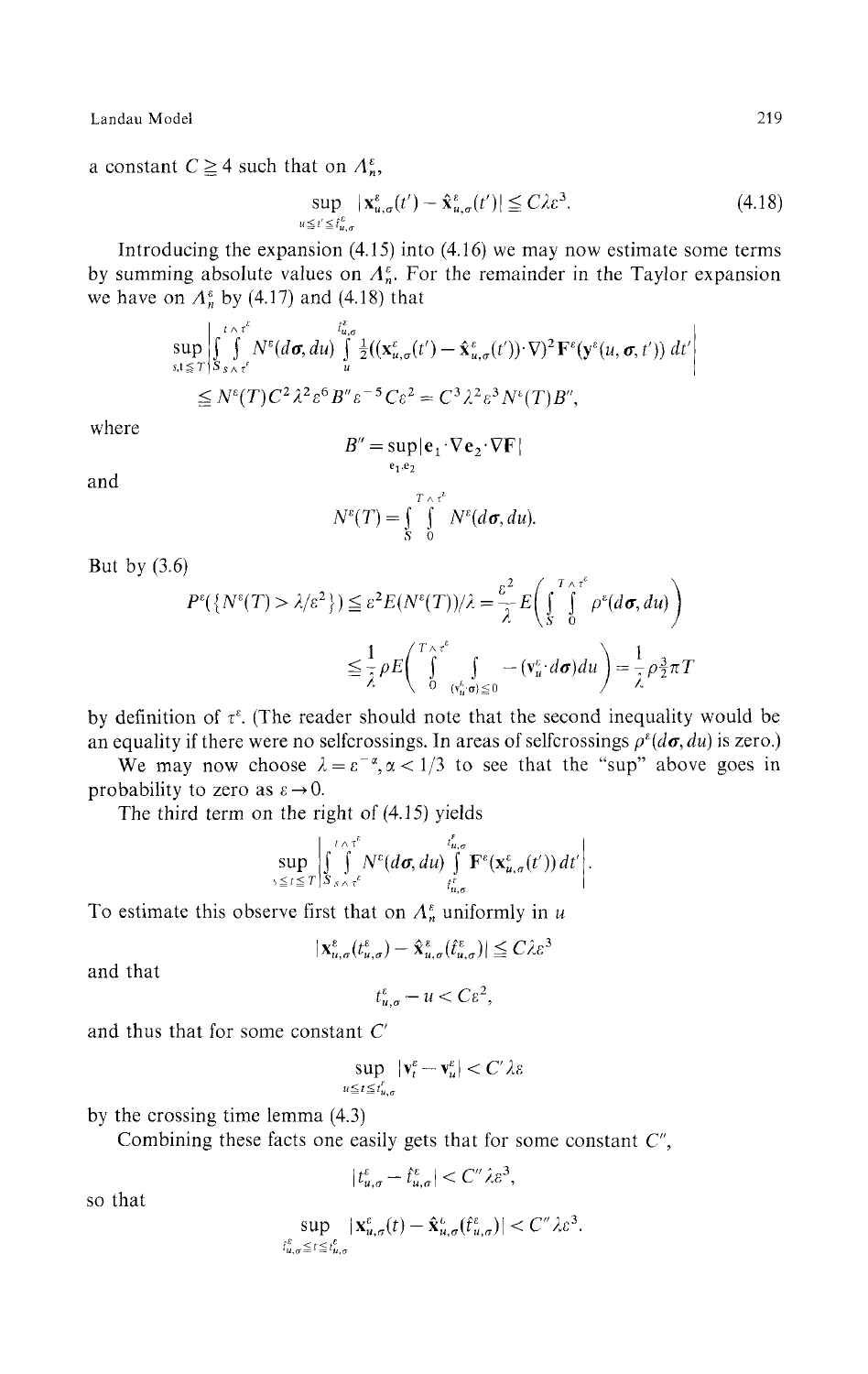a constant  $C \geq 4$  such that on  $\Lambda_n^{\varepsilon}$ ,

$$
\sup_{u \le t' \le t_{u,\sigma}^{\varepsilon}} |\mathbf{x}_{u,\sigma}^{\varepsilon}(t') - \hat{\mathbf{x}}_{u,\sigma}^{\varepsilon}(t')| \le C\lambda \varepsilon^3. \tag{4.18}
$$

Introducing the expansion (4.15) into (4.16) we may now estimate some terms by summing absolute values on  $A_n^{\varepsilon}$ . For the remainder in the Taylor expansion we have on  $A_n^{\varepsilon}$  by (4.17) and (4.18) that

$$
\sup_{s,t\leq T}\left|\int_{S_{s\wedge\tau}}^{t\wedge\tau^{\varepsilon}}N^{\varepsilon}(d\sigma,du)\int_{u}^{t_{u,\sigma}^{\varepsilon}}\frac{1}{2}((\mathbf{x}_{u,\sigma}^{\varepsilon}(t')-\hat{\mathbf{x}}_{u,\sigma}^{\varepsilon}(t'))\cdot\nabla)^{2}\mathbf{F}^{\varepsilon}(\mathbf{y}^{\varepsilon}(u,\sigma,t'))\,dt'\right|
$$
  
\n
$$
\leq N^{\varepsilon}(T)C^{2}\lambda^{2}\varepsilon^{6}B''\varepsilon^{-5}C\varepsilon^{2}=C^{3}\lambda^{2}\varepsilon^{3}N^{\varepsilon}(T)B'',
$$

where

$$
B'' = \sup_{\mathbf{e}_1, \mathbf{e}_2} |\mathbf{e}_1 \cdot \nabla \mathbf{e}_2 \cdot \nabla \mathbf{F}|
$$

and

$$
N^{\varepsilon}(T)=\int_{S}^{T\wedge\tau^{\varepsilon}}N^{\varepsilon}(d\sigma,du).
$$

But by  $(3.6)$ 

$$
P^{\varepsilon}(\{N^{\varepsilon}(T) > \lambda/\varepsilon^2\}) \leq \varepsilon^2 E(N^{\varepsilon}(T))/\lambda = \frac{\varepsilon^2}{\lambda} E\left(\int_{S}^{T} \int_{0}^{\varepsilon} \rho^{\varepsilon}(d\sigma, du)\right)
$$
  

$$
\leq \frac{1}{\lambda} \rho E\left(\int_{0}^{T} \int_{\frac{(\mathbf{v}_u^{\varepsilon})}{(\mathbf{v}_u^{\varepsilon})} \rho^2} - (\mathbf{v}_u^{\varepsilon}) d\sigma \right) du = \frac{1}{\lambda} \rho \frac{3}{2} \pi T
$$

by definition of  $\tau^{\epsilon}$ . (The reader should note that the second inequality would be an equality if there were no selfcrossings. In areas of selfcrossings  $\rho^{\epsilon}(d\sigma, du)$  is zero.)

We may now choose  $\lambda = \varepsilon^{-\alpha}, \alpha < 1/3$  to see that the "sup" above goes in probability to zero as  $\varepsilon \to 0$ .

The third term on the right of (4.15) yields

$$
\sup_{s\leq t\leq T}\left|\int_{s}^{t\wedge\tau^{c}}\int_{s\wedge\tau^{c}}^{t'_{u,\sigma}}N^{c}(d\sigma,du)\int_{t^{c}_{u,\sigma}}^{t^{c}_{u,\sigma}}\mathbf{F}^{c}(\mathbf{x}_{u,\sigma}^{c}(t'))\,dt'\right|.
$$

To estimate this observe first that on  $A_n^{\varepsilon}$  uniformly in u

$$
|\mathbf{x}_{u,\sigma}^{\varepsilon}(t_{u,\sigma}^{\varepsilon})-\hat{\mathbf{x}}_{u,\sigma}^{\varepsilon}(t_{u,\sigma}^{\varepsilon})|\leq C\lambda\varepsilon^{3}
$$

and that

$$
t_{u,\sigma}^{\varepsilon}-u
$$

and thus that for some constant *C*

$$
\sup_{u \leq t \leq t_{u,\sigma}^{\ell}} |\mathbf{v}_{t}^{\varepsilon} - \mathbf{v}_{u}^{\varepsilon}| < C' \lambda \varepsilon
$$

by the crossing time lemma (4.3)

Combining these facts one easily gets that for some constant *C",*

$$
|t_{u,\sigma}^{\varepsilon}-\hat{t}_{u,\sigma}^{\varepsilon}|< C''\lambda\varepsilon^3,
$$

so that

$$
\sup_{\mathbf{f}_{u,\sigma}^{\varepsilon} \leq t \leq t_{u,\sigma}^{\varepsilon}} |\mathbf{x}_{u,\sigma}^{\varepsilon}(t) - \hat{\mathbf{x}}_{u,\sigma}^{\varepsilon}(\hat{t}_{u,\sigma}^{\varepsilon})| < C'' \lambda \varepsilon^{3}.
$$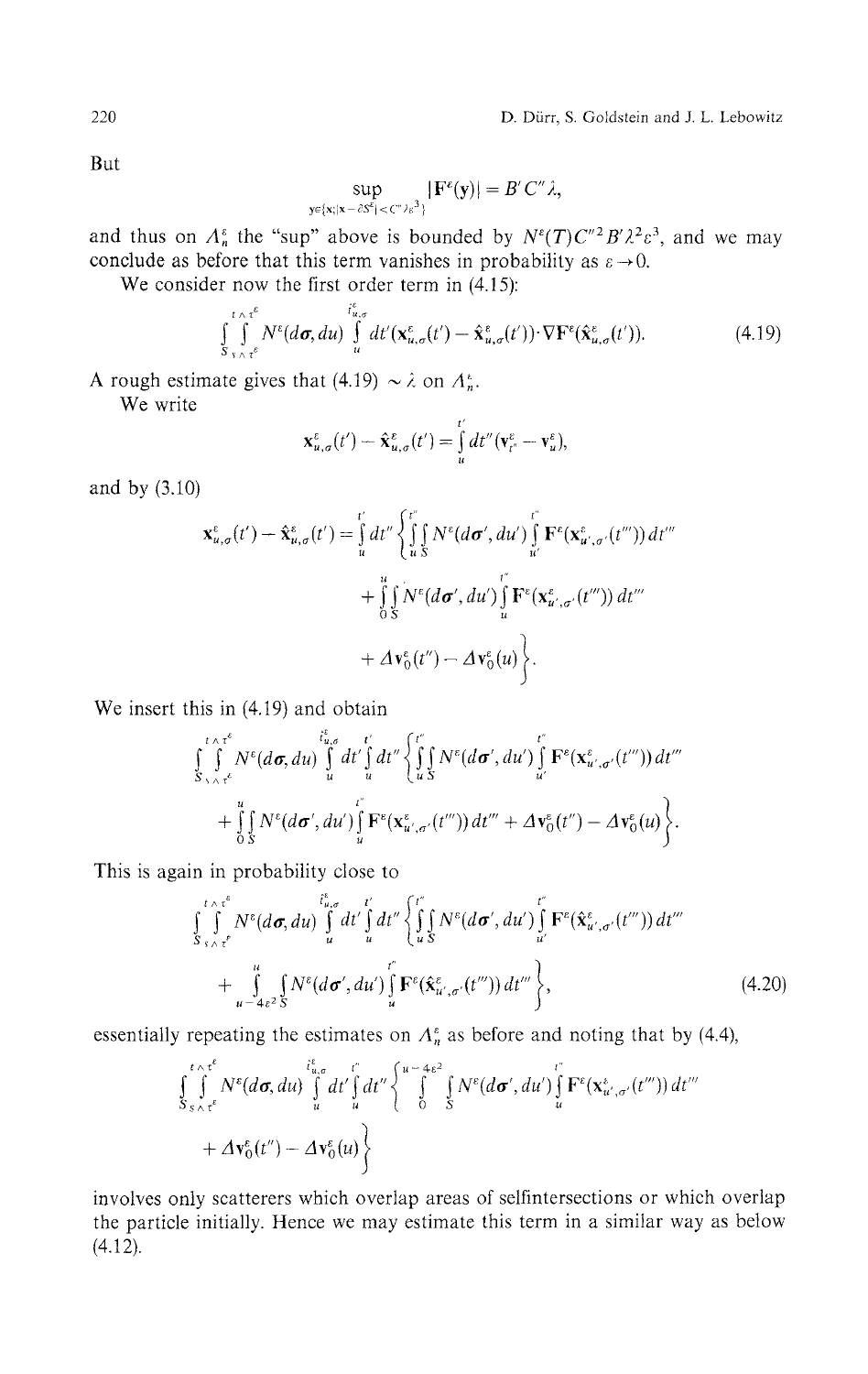But

$$
\sup_{y\in\{x;|x-\delta S^\varepsilon|<\zeta^{\varepsilon\prime}\}\in\zeta^3\}}|F^\varepsilon(y)|=B^\prime C^{\prime\prime}\lambda,
$$

and thus on  $\Lambda_n^{\varepsilon}$  the "sup" above is bounded by  $N^{\varepsilon}(T)C^{\prime\prime}{}^2B^{\prime}\lambda^2\varepsilon^3$ , and we may conclude as before that this term vanishes in probability as  $\varepsilon \to 0$ .

We consider now the first order term in  $(4.15)$ :

$$
\int_{S_{\gamma\wedge\tau^{\varepsilon}}}^{\iota\wedge\tau^{\varepsilon}} N^{\varepsilon}(d\sigma, du) \int_{u}^{i_{u,\sigma}^{\varepsilon}} dt'(\mathbf{x}_{u,\sigma}^{\varepsilon}(t') - \hat{\mathbf{x}}_{u,\sigma}^{\varepsilon}(t')) \cdot \nabla \mathbf{F}^{\varepsilon}(\hat{\mathbf{x}}_{u,\sigma}^{\varepsilon}(t')). \tag{4.19}
$$

A rough estimate gives that (4.19)  $\sim \lambda$  on  $A_n^*$ .

We write

$$
\mathbf{x}_{u,\sigma}^{\varepsilon}(t')-\hat{\mathbf{x}}_{u,\sigma}^{\varepsilon}(t')=\int\limits_{u}^{t'}dt''(\mathbf{v}_{t''}^{\varepsilon}-\mathbf{v}_{u}^{\varepsilon}),
$$

and by (3.10)

$$
\mathbf{x}_{u,\sigma}^{\varepsilon}(t') - \hat{\mathbf{x}}_{u,\sigma}^{\varepsilon}(t') = \int_{u}^{t'} dt'' \left\{ \int_{u}^{t''} \int_{S} N^{\varepsilon}(d\sigma', du') \int_{u'}^{t''} \mathbf{F}^{\varepsilon}(\mathbf{x}_{u',\sigma'}^{\varepsilon}(t''')) dt''' + \int_{0}^{u} \int_{S} N^{\varepsilon}(d\sigma', du') \int_{u}^{t''} \mathbf{F}^{\varepsilon}(\mathbf{x}_{u',\sigma'}^{\varepsilon}(t''')) dt''' + \Delta \mathbf{v}_{0}^{\varepsilon}(t'') - \Delta \mathbf{v}_{0}^{\varepsilon}(u) \right\}.
$$

We insert this in (4.19) and obtain

$$
\int_{S_{\gamma\wedge\tau}\epsilon}^{\epsilon\wedge\tau^{\epsilon}} N^{\epsilon}(d\sigma, du) \int_{u}^{\epsilon^*_{u,\sigma}} dt' \int_{u}^{\epsilon'} dt'' \left\{ \int_{u}^{\epsilon} N^{\epsilon}(d\sigma', du') \int_{u'}^{\epsilon} \mathbf{F}^{\epsilon}(\mathbf{x}^{\epsilon}_{u',\sigma'}(t''')) dt'''\n+ \int_{0}^{u} \int_{S} N^{\epsilon}(d\sigma', du') \int_{u}^{\epsilon} \mathbf{F}^{\epsilon}(\mathbf{x}^{\epsilon}_{u',\sigma'}(t''')) dt'''+ \Delta \mathbf{v}^{\epsilon}_{0}(t'') - \Delta \mathbf{v}^{\epsilon}_{0}(u) \right\}.
$$

This is again in probability close to

$$
\int_{S_{s\wedge\tau}}^{t\wedge\tau^{e}} N^{e}(d\sigma, du) \int_{u}^{t^{e}} dt' \int_{u}^{t'} dt'' \left\{ \int_{u}^{t''} N^{e}(d\sigma', du') \int_{u'}^{t''} \mathbf{F}^{e}(\hat{\mathbf{x}}_{u',\sigma'}^{e}(t''')) dt'''\n+ \int_{u^{-4}\epsilon^{2}}^{u} \int_{S} N^{e}(d\sigma', du') \int_{u}^{t''} \mathbf{F}^{e}(\hat{\mathbf{x}}_{u',\sigma'}^{e}(t''')) dt'''\n\right\},
$$
\n(4.20)

essentially repeating the estimates on  $\Lambda_n^{\varepsilon}$  as before and noting that by (4.4),

$$
\int_{S_{s\wedge\tau}^{\varepsilon}}^{\varepsilon} \int_{S_{s\wedge\tau}^{\varepsilon}}^{\varepsilon} N^{\varepsilon}(d\sigma, du) \int_{u}^{\varepsilon_{u,\sigma}} dt' \int_{u}^{\varepsilon} dt'' \left\{ \int_{0}^{u-4\varepsilon^{2}} \int_{S}^{\varepsilon} N^{\varepsilon}(d\sigma', du') \int_{u}^{\varepsilon} \mathbf{F}^{\varepsilon}(\mathbf{x}_{u',\sigma'}^{\varepsilon}(t''')) dt''' \right. + \Delta \mathbf{v}_{0}^{\varepsilon}(t'') - \Delta \mathbf{v}_{0}^{\varepsilon}(u) \left\}
$$

involves only scatterers which overlap areas of selfintersections or which overlap the particle initially. Hence we may estimate this term in a similar way as below (4.12).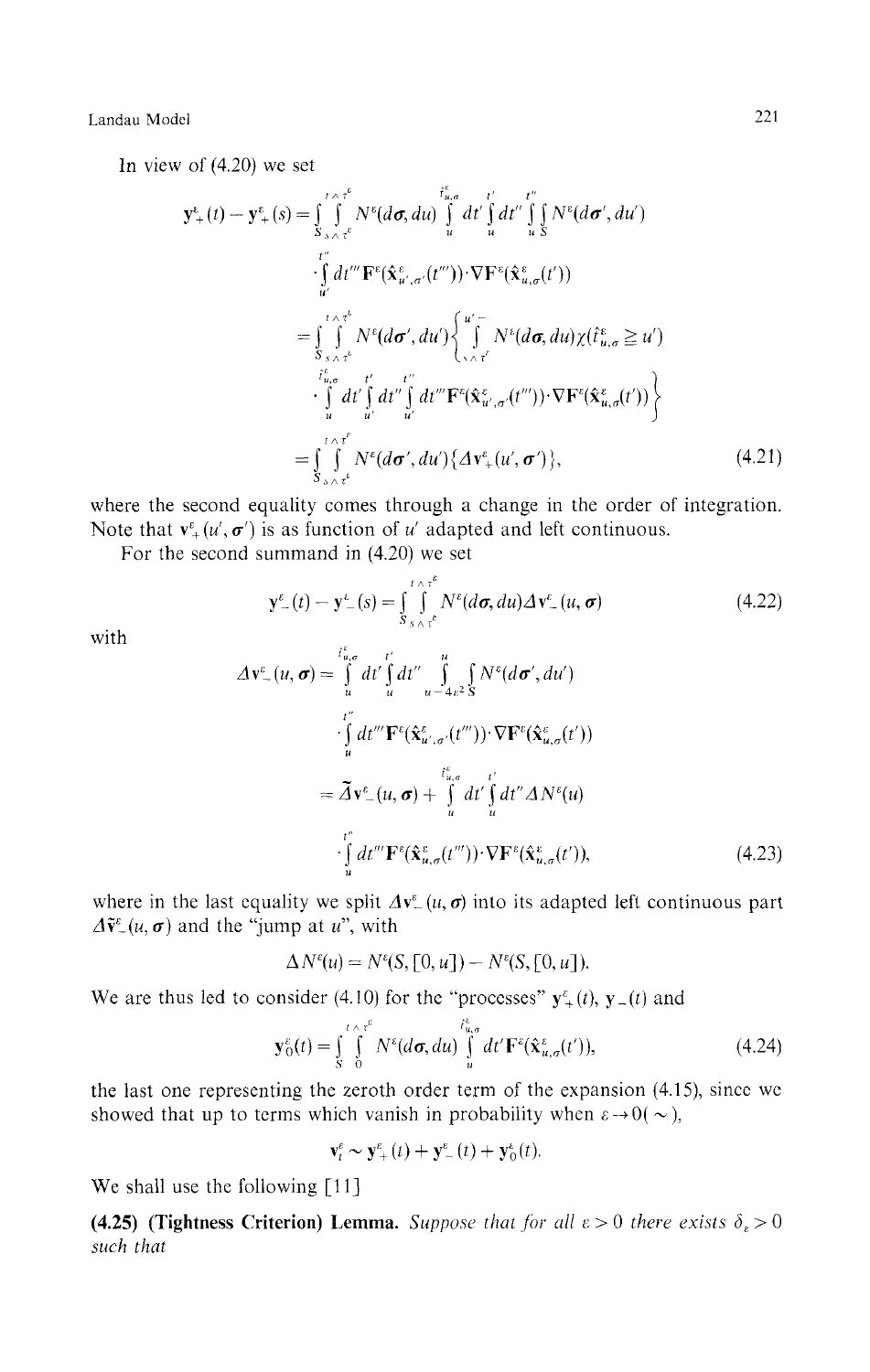In view of (4.20) we set

$$
\mathbf{y}^{\epsilon}_{+}(t) - \mathbf{y}^{\epsilon}_{+}(s) = \int_{S_{\lambda} \wedge \tau^{\epsilon}}^{\tau^{\epsilon}} N^{\epsilon}(d\sigma, du) \int_{u}^{\tau^{\epsilon}_{u,\sigma}} dt' \int_{u}^{\tau^{\epsilon}} dt'' \int_{u}^{\tau^{\epsilon}} N^{\epsilon}(d\sigma', du')
$$
  
\n
$$
\cdot \int_{u'}^{\tau^{\epsilon}} dt''' \mathbf{F}^{\epsilon}(\hat{\mathbf{x}}^{\epsilon}_{u',\sigma'}(t''')) \cdot \nabla \mathbf{F}^{\epsilon}(\hat{\mathbf{x}}^{\epsilon}_{u,\sigma}(t'))
$$
  
\n
$$
= \int_{S_{\lambda} \wedge \tau^{\epsilon}}^{\tau^{\epsilon}_{u,\sigma}} N^{\epsilon}(d\sigma', du') \left\{ \int_{\gamma \wedge \tau^{\epsilon}}^{u'} N^{\epsilon}(d\sigma, du) \chi(\hat{t}^{\epsilon}_{u,\sigma} \geq u') - \int_{u}^{\tau^{\epsilon}_{u,\sigma}} dt' \int_{u'}^{\tau^{\epsilon}} dt'' \int_{u'}^{\tau^{\epsilon}} dt'' \mathbf{F}^{\epsilon}(\hat{\mathbf{x}}^{\epsilon}_{u',\sigma'}(t''')) \cdot \nabla \mathbf{F}^{\epsilon}(\hat{\mathbf{x}}^{\epsilon}_{u,\sigma}(t')) \right\}
$$
  
\n
$$
= \int_{S_{\lambda} \wedge \tau^{\epsilon}}^{\tau^{\epsilon}_{u,\sigma}} N^{\epsilon}(d\sigma', du') \left\{ \Delta \mathbf{v}^{\epsilon}_{+}(u', \sigma') \right\}, \tag{4.21}
$$

where the second equality comes through a change in the order of integration. Note that  $\mathbf{v}^{\varepsilon}_+(\mathbf{u}', \boldsymbol{\sigma}')$  is as function of *u'* adapted and left continuous.

For the second summand in (4.20) we set

$$
\mathbf{y}_{-}^{\varepsilon}(t) - \mathbf{y}_{-}^{\varepsilon}(s) = \int_{S_{s} \wedge \tau^{\varepsilon}}^{\tau \wedge \tau^{\varepsilon}} N^{\varepsilon}(d\sigma, du) \Delta \mathbf{v}_{-}^{\varepsilon}(u, \sigma)
$$
(4.22)

with

$$
\Delta \mathbf{v}_{-}^{c}(u, \boldsymbol{\sigma}) = \int_{u}^{t_{u,\sigma}^{c}} dt' \int_{u}^{t'} dt'' \int_{u - 4\varepsilon^{2}}^{u} \int_{S} N^{c}(d\boldsymbol{\sigma}', du')
$$
  
\n
$$
\cdot \int_{u}^{t''} dt''' \mathbf{F}^{c}(\hat{\mathbf{x}}_{u',\sigma'}^{c}(t''')) \cdot \nabla \mathbf{F}^{c}(\hat{\mathbf{x}}_{u,\sigma}^{c}(t'))
$$
  
\n
$$
= \tilde{\Delta} \mathbf{v}_{-}^{c}(u, \boldsymbol{\sigma}) + \int_{u}^{t_{u,\sigma}^{c}} dt' \int_{u}^{t'} dt'' \Delta N^{c}(u)
$$
  
\n
$$
\cdot \int_{u}^{t''} dt''' \mathbf{F}^{c}(\hat{\mathbf{x}}_{u,\sigma}^{c}(t''')) \cdot \nabla \mathbf{F}^{c}(\hat{\mathbf{x}}_{u,\sigma}^{c}(t')), \qquad (4.23)
$$

where in the last equality we split  $\Delta v^{\varepsilon}(u, \sigma)$  into its adapted left continuous part  $\Delta \tilde{v}^{\varepsilon}(u, \sigma)$  and the "jump at u", with

$$
\Delta N^{\varepsilon}(u) = N^{\varepsilon}(S, [0, u]) - N^{\varepsilon}(S, [0, u]).
$$

We are thus led to consider (4.10) for the "processes"  $y^{\varepsilon}_{+}(t)$ ,  $y_{-}(t)$  and

$$
\mathbf{y}_0^{\varepsilon}(t) = \int_S^t \int_0^{\varepsilon} N^{\varepsilon}(d\sigma, du) \int_u^{t_{u,\sigma}^{\varepsilon}} dt' \mathbf{F}^{\varepsilon}(\hat{\mathbf{x}}_{u,\sigma}^{\varepsilon}(t')), \qquad (4.24)
$$

the last one representing the zeroth order term of the expansion (4.15), since we showed that up to terms which vanish in probability when  $\varepsilon \rightarrow 0(\sim)$ ,

 ${\bf v}_t^{\varepsilon} \sim {\bf y}_{+}^{\varepsilon}(t) + {\bf y}_{-}^{\varepsilon}(t) + {\bf y}_{0}^{\varepsilon}(t).$ 

We shall use the following [11]

**(4.25) (Tightness Criterion) Lemma.** Suppose that for all  $\varepsilon > 0$  there exists  $\delta_{\varepsilon} > 0$ *such that*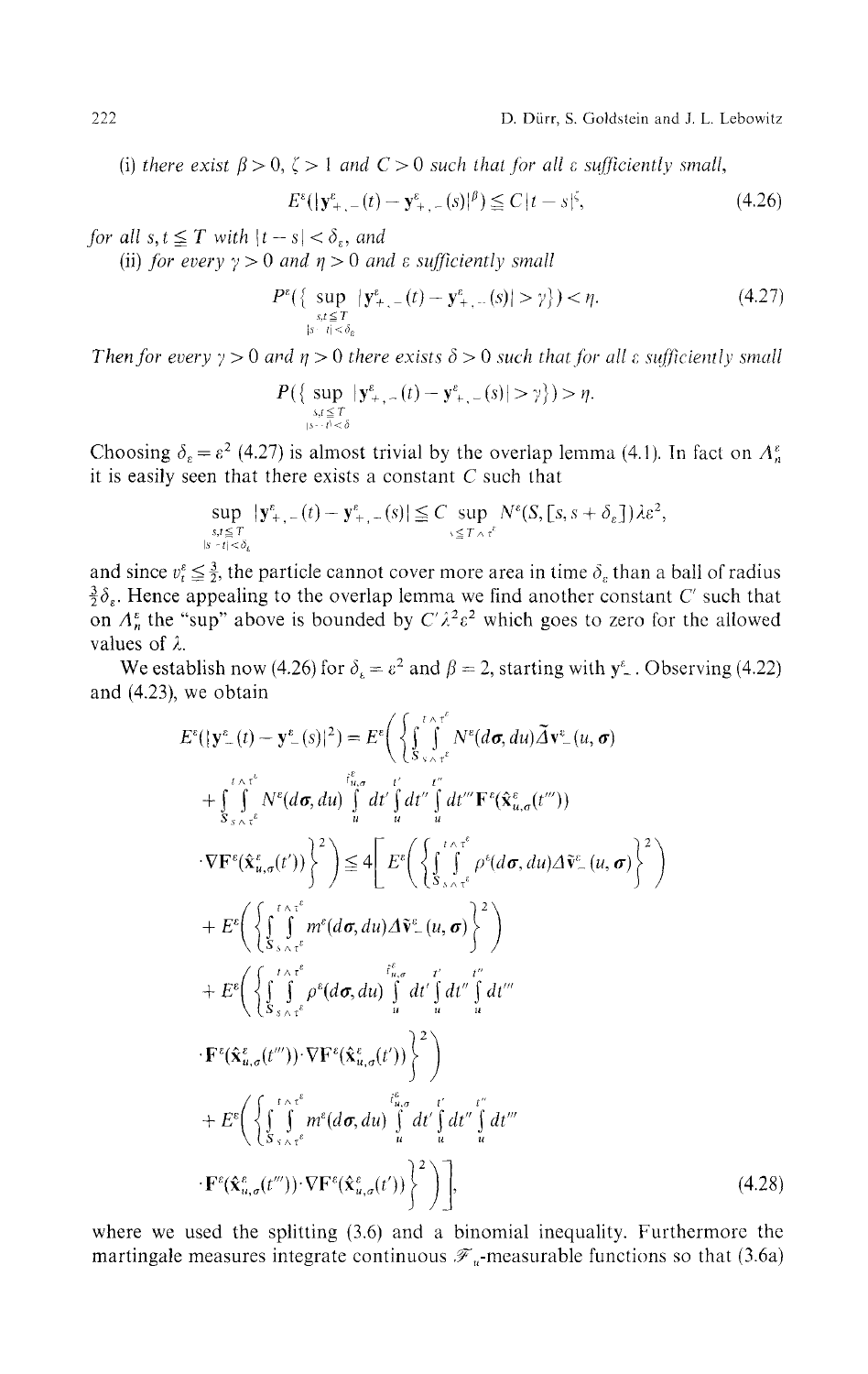(i) there exist  $\beta > 0$ ,  $\zeta > 1$  and  $C > 0$  such that for all  $\varepsilon$  sufficiently small,

$$
E^{\varepsilon}(|\mathbf{y}^{\varepsilon}_{+,-}(t) - \mathbf{y}^{\varepsilon}_{+,-}(s)|^{\beta}) \leq C|t - s|^{\xi},\tag{4.26}
$$

*for all s,t*  $\leq T$  *with*  $|t - s| < \delta_{\epsilon}$ *, and* 

(ii) for every  $\gamma > 0$  and  $\eta > 0$  and  $\varepsilon$  sufficiently small

$$
P^{\varepsilon}\left\{\sup_{\substack{s,t \leq T \\ |s-t| < \delta_{\varepsilon}}} |\mathbf{y}^{\varepsilon}_{+,-}(t) - \mathbf{y}^{\varepsilon}_{+,-}(s)| > \gamma\right\} > \eta. \tag{4.27}
$$

*Then for every y >* 0 *and η >* 0 *there exists δ>0 such that for all ε sufficiently small*

$$
P\left(\left\{\sup_{\substack{s,t\leq T\\s\cdots t^j<\delta}}|\mathbf{y}^{\varepsilon}_{+,-}(t)-\mathbf{y}^{\varepsilon}_{+,-}(s)|>\gamma\right\}\right)>\eta.
$$

Choosing  $\delta_{\varepsilon} = \varepsilon^2$  (4.27) is almost trivial by the overlap lemma (4.1). In fact on  $A_{n}^{\varepsilon}$ it is easily seen that there exists a constant *C* such that

$$
\sup_{\substack{s,t \leq T \\ |s-t| < \delta_{\epsilon}}} |\mathbf{y}^{\epsilon}_{+,-}(t) - \mathbf{y}^{\epsilon}_{+,-}(s)| \leq C \sup_{s \leq T \wedge \tau^{\epsilon}} N^{\epsilon}(S, [s, s + \delta_{\epsilon}]) \lambda \epsilon^2,
$$

and since  $v_t^* \leq \frac{3}{2}$ , the particle cannot cover more area in time  $\delta_t$  than a ball of radius  $\frac{3}{2}\delta_{\epsilon}$ . Hence appealing to the overlap lemma we find another constant C' such that on  $A_n^{\varepsilon}$  the "sup" above is bounded by  $C^{\prime} \lambda^2 \varepsilon^2$  which goes to zero for the allowed values of *λ.*

We establish now (4.26) for  $\delta_k = \varepsilon^2$  and  $\beta = 2$ , starting with  $y^{\varepsilon}$ . Observing (4.22) and (4.23), we obtain

$$
E^{\varepsilon}(|\mathbf{y}^{\varepsilon}_{-}(t)-\mathbf{y}^{\varepsilon}_{-}(s)|^{2})=E^{\varepsilon}\bigg(\bigg\{\int_{S_{\gamma_{\wedge}\gamma_{\varepsilon}}^{\varepsilon_{\varepsilon}}}\int_{\varepsilon_{\omega,\sigma}}^{\varepsilon_{\varepsilon}}N^{\varepsilon}(d\sigma,du)\tilde{\Delta}\mathbf{v}^{\varepsilon}_{-}(u,\sigma) + \int_{S_{\gamma_{\wedge}\gamma_{\varepsilon}}^{\varepsilon_{\varepsilon}}}\int_{S_{\gamma_{\wedge}\gamma_{\varepsilon}}^{\varepsilon}}N^{\varepsilon}(d\sigma,du)\bigg|_{u}^{\varepsilon_{u}}dt'\bigg|_{u}^{\varepsilon_{u}}dt'''\mathbf{F}^{\varepsilon}(\hat{\mathbf{x}}^{\varepsilon}_{u,\sigma}(t''))\n\cdot\nabla\mathbf{F}^{\varepsilon}(\hat{\mathbf{x}}^{\varepsilon}_{u,\sigma}(t'))\bigg|^{2}\bigg)\leq 4\bigg[E^{\varepsilon}\bigg(\bigg\{\int_{S_{\gamma_{\wedge}\gamma_{\varepsilon}}^{\varepsilon}}^{\varepsilon_{\varepsilon}}\rho^{\varepsilon}(d\sigma,du)\Delta\tilde{\mathbf{v}}^{\varepsilon}_{-}(u,\sigma)\bigg\}^{2}\bigg) + E^{\varepsilon}\bigg(\bigg\{\int_{S_{\gamma_{\wedge}\gamma_{\varepsilon}}^{\varepsilon}}^{\varepsilon_{\varepsilon}\gamma_{\varepsilon}}m^{\varepsilon}(d\sigma,du)\Delta\tilde{\mathbf{v}}^{\varepsilon}_{-}(u,\sigma)\bigg\}^{2}\bigg) + E^{\varepsilon}\bigg(\bigg\{\int_{S_{\gamma_{\wedge}\gamma_{\varepsilon}}^{\varepsilon}}^{\varepsilon_{\varepsilon}\gamma_{\varepsilon}}\rho^{\varepsilon}(d\sigma,du)\bigg|_{u}^{\varepsilon_{u}}dt'\bigg|_{u}^{\varepsilon_{u}^{\varepsilon}}dt'''\bigg] + E^{\varepsilon}\bigg(\bigg\{\int_{S_{\gamma_{\wedge}\gamma_{\varepsilon}}^{\varepsilon_{u}}}\int_{\tilde{S}_{\gamma_{\wedge}\gamma_{\varepsilon}}^{\varepsilon_{u}}(t'')\bigg\}^{2}\bigg) + E^{\varepsilon}\bigg(\bigg\{\int
$$

where we used the splitting (3.6) and a binomial inequality. Furthermore the martingale measures integrate continuous  $\mathcal{F}_u$ -measurable functions so that (3.6a)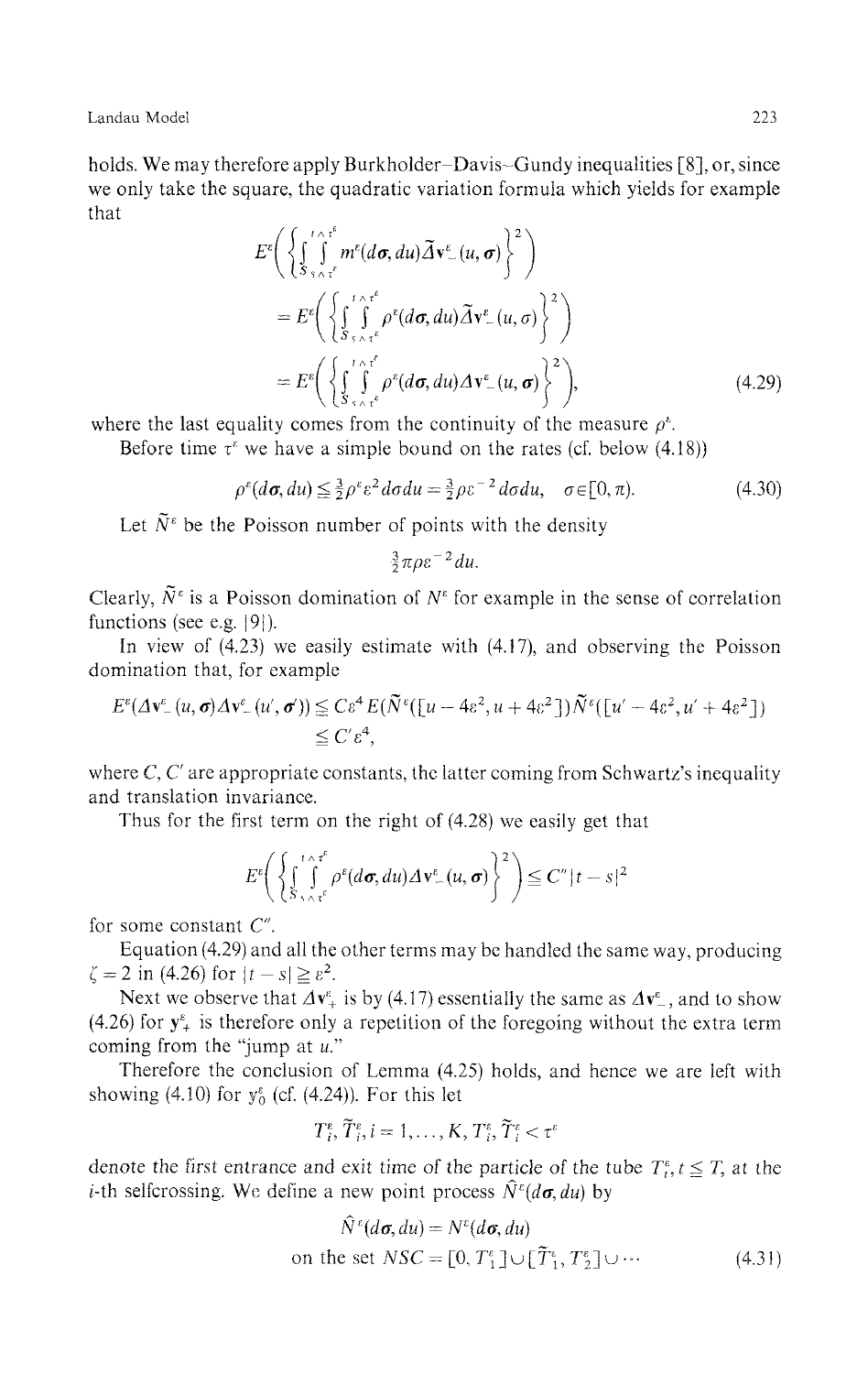holds. We may therefore apply Burkholder-Davis-Gundy inequalities [8], or, since we only take the square, the quadratic variation formula which yields for example that

$$
E^{\varepsilon}\left(\left\{\int_{\mathcal{S}_{s}}^{\infty} \int_{\gamma \wedge \tau^{\varepsilon}}^{\infty} m^{\varepsilon}(d\sigma, du) \tilde{\Delta} \mathbf{v}^{\varepsilon}_{-}(u, \sigma)\right\}^{2}\right) \\
= E^{\varepsilon}\left(\left\{\int_{\mathcal{S}_{s}}^{\infty} \int_{\gamma \wedge \tau^{\varepsilon}}^{\infty} \rho^{\varepsilon}(d\sigma, du) \tilde{\Delta} \mathbf{v}^{\varepsilon}_{-}(u, \sigma)\right\}^{2}\right) \\
= E^{\varepsilon}\left(\left\{\int_{\mathcal{S}_{s}}^{\infty} \int_{\gamma \wedge \tau^{\varepsilon}}^{\infty} \rho^{\varepsilon}(d\sigma, du) \Delta \mathbf{v}^{\varepsilon}_{-}(u, \sigma)\right\}^{2}\right),
$$
\n(4.29)

where the last equality comes from the continuity of the measure  $\rho^*$ .

Before time  $\tau^{\varepsilon}$  we have a simple bound on the rates (cf. below (4.18))

$$
\rho^{\varepsilon}(d\sigma, du) \leq \frac{3}{2}\rho^{\varepsilon}\varepsilon^2 d\sigma du = \frac{3}{2}\rho\varepsilon^{-2} d\sigma du, \quad \sigma \in [0, \pi). \tag{4.30}
$$

Let  $\tilde{N}^{\varepsilon}$  be the Poisson number of points with the density

$$
\tfrac{3}{2}\pi\rho\varepsilon^{-2}du.
$$

Clearly,  $\tilde{N}^{\varepsilon}$  is a Poisson domination of  $N^{\varepsilon}$  for example in the sense of correlation functions (see e.g. |9|).

In view of (4.23) we easily estimate with (4.17), and observing the Poisson domination that, for example

$$
E^{\varepsilon} (A \mathbf{v}^{\varepsilon} - (u, \sigma) \Delta \mathbf{v}^{\varepsilon} - (u', \sigma')) \leq C \varepsilon^4 E (\tilde{N}^{\varepsilon} ([u - 4\varepsilon^2, u + 4\varepsilon^2]) \tilde{N}^{\varepsilon} ([u' - 4\varepsilon^2, u' + 4\varepsilon^2])
$$
  
 
$$
\leq C' \varepsilon^4,
$$

where  $C, C'$  are appropriate constants, the latter coming from Schwartz's inequality and translation invariance.

Thus for the first term on the right of (4.28) we easily get that

$$
E^{\varepsilon}\Bigg(\bigg\{\int_{S\setminus\wedge\tau^{\varepsilon}}^{\tau\wedge\tau^{\varepsilon}}\rho^{\varepsilon}(d\sigma,du)\Delta\mathbf{v}^{\varepsilon}_{-}(u,\sigma)\bigg\}^{2}\Bigg)\leq C''|t-s|^{2}
$$

for some constant C".

Equation (4.29) and all the other terms may be handled the same way, producing  $= 2 \text{ in } (4.26) \text{ for } |t-s| \geq \varepsilon^2.$ 

Next we observe that  $\Delta v^2$  is by (4.17) essentially the same as  $\Delta v^2$ , and to show (4.26) for  $y^{\epsilon}$  is therefore only a repetition of the foregoing without the extra term coming from the "jump at *u*."

Therefore the conclusion of Lemma (4.25) holds, and hence we are left with showing  $(4.10)$  for  $y_0^{\epsilon}$  (cf.  $(4.24)$ ). For this let

$$
T_i^{\epsilon}, \tilde{T}_i^{\epsilon}, i = 1, \ldots, K, T_i^{\epsilon}, \tilde{T}_i^{\epsilon} < \tau^{\epsilon}
$$

denote the first entrance and exit time of the particle of the tube  $T_t^{\epsilon}$ ,  $t \leq T$ , at the *i*-th selfcrossing. We define a new point process  $\hat{N}^{\varepsilon}(d\sigma, du)$  by

$$
N^{\varepsilon}(d\sigma, du) = N^{\varepsilon}(d\sigma, du)
$$
  
on the set 
$$
NSC = [0, T_1^{\varepsilon}] \cup [\tilde{T}_1^{\varepsilon}, T_2^{\varepsilon}] \cup \cdots
$$
 (4.31)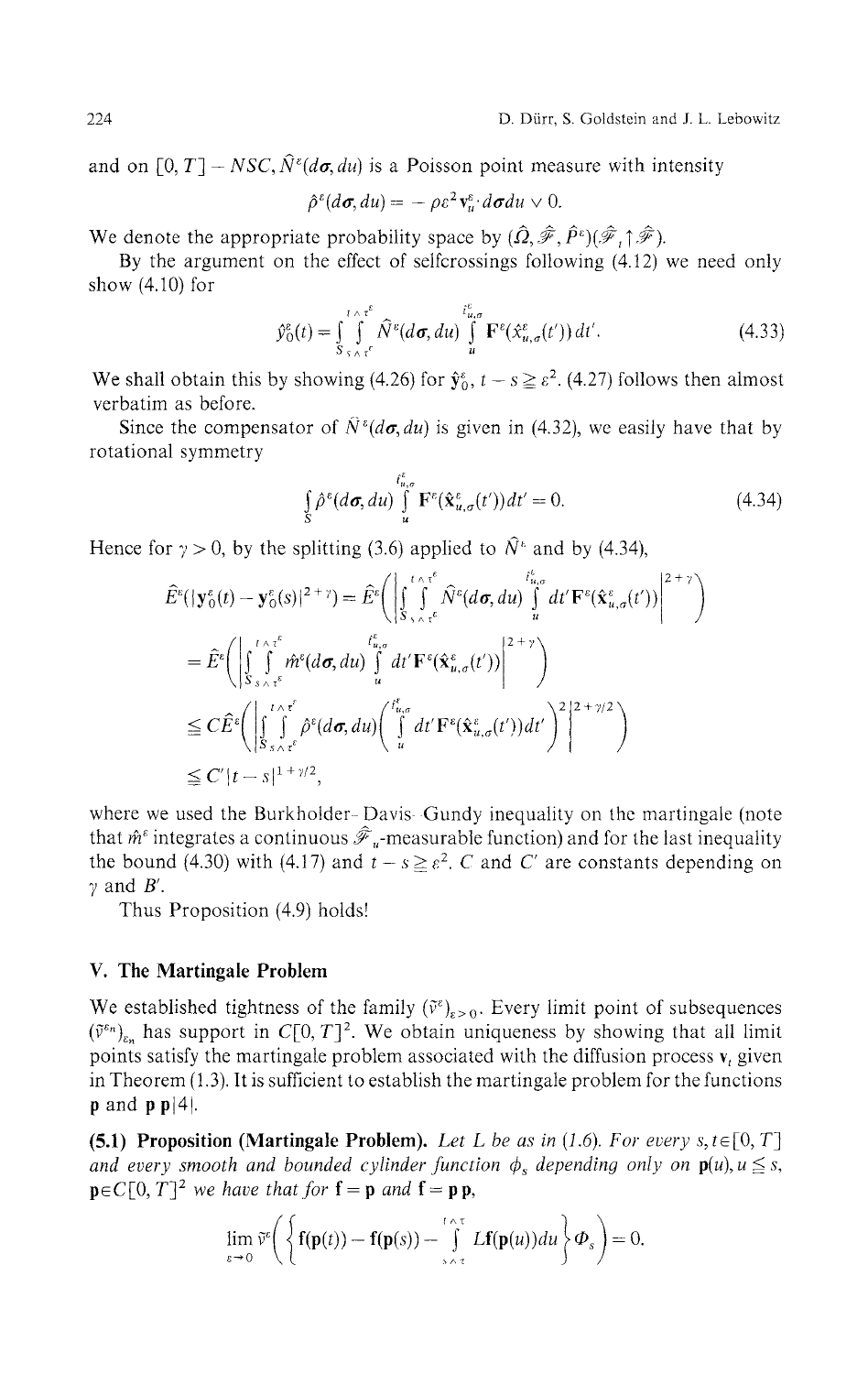and on  $[0, T] - NSC$ ,  $\hat{N}^{\varepsilon}(d\sigma, du)$  is a Poisson point measure with intensity

$$
\hat{\rho}^{\varepsilon}(d\boldsymbol{\sigma}, du) = -\rho \varepsilon^2 \mathbf{v}_u^{\varepsilon} \cdot d\boldsymbol{\sigma} du \vee 0.
$$

We denote the appropriate probability space by  $(\hat{\Omega}, \hat{\mathscr{F}}, \hat{P}^{\varepsilon})(\hat{\mathscr{F}}, \hat{\mathscr{F}})$ .

By the argument on the effect of selfcrossings following (4.12) we need only show (4.10) for

$$
\hat{y}_0^{\varepsilon}(t) = \int_{S}^{t \wedge \tau^{\varepsilon}} \int_{s \wedge \tau^{\varepsilon}}^{t} \hat{N}^{\varepsilon}(d\sigma, du) \int_{u}^{t_{u,\sigma}^{\varepsilon}} \mathbf{F}^{\varepsilon}(\hat{x}_{u,\sigma}^{\varepsilon}(t')) dt'. \tag{4.33}
$$

We shall obtain this by showing (4.26) for  $\hat{\mathbf{y}}_0^{\varepsilon}$ ,  $t - s \geq \varepsilon^2$ . (4.27) follows then almost verbatim as before.

Since the compensator of  $\hat{N}^{\epsilon}(d\sigma, du)$  is given in (4.32), we easily have that by rotational symmetry

$$
\int_{S} \hat{\rho}^{\varepsilon}(d\sigma, du) \int_{u}^{\delta_{u,\sigma}^{\varepsilon}} \mathbf{F}^{\varepsilon}(\hat{\mathbf{x}}_{u,\sigma}^{\varepsilon}(t')) dt' = 0.
$$
\n(4.34)

Hence for  $\gamma > 0$ , by the splitting (3.6) applied to  $\hat{N}^*$  and by (4.34),

$$
\hat{E}^{\varepsilon}(|\mathbf{y}_{0}^{\varepsilon}(t)-\mathbf{y}_{0}^{\varepsilon}(s)|^{2+\gamma})=\hat{E}^{\varepsilon}\Bigg(\Bigg|\int_{S_{\gamma_{\wedge}\tau^{\varepsilon}}}^{\tau_{\alpha,\sigma}^{\varepsilon}}\hat{N}^{\varepsilon}(d\sigma,du)\int_{u}^{t_{u,\sigma}^{\varepsilon}}dt'\mathbf{F}^{\varepsilon}(\hat{\mathbf{x}}_{u,\sigma}^{\varepsilon}(t'))\Bigg|^{2+\gamma}\Bigg)
$$
\n
$$
=\hat{E}^{\varepsilon}\Bigg(\Bigg|\int_{S_{\gamma_{\wedge}\tau^{\varepsilon}}}^{\tau_{\alpha,\tau^{\varepsilon}}}i\hat{m}^{\varepsilon}(d\sigma,du)\int_{u}^{t_{u,\sigma}^{\varepsilon}}dt'\mathbf{F}^{\varepsilon}(\hat{\mathbf{x}}_{u,\sigma}^{\varepsilon}(t'))\Bigg|^{2+\gamma}\Bigg)
$$
\n
$$
\leq C\hat{E}^{\varepsilon}\Bigg(\Bigg|\int_{S_{\gamma_{\wedge}\tau^{\varepsilon}}}^{\tau_{\wedge\tau^{\varepsilon}}}i\hat{\rho}^{\varepsilon}(d\sigma,du)\Bigg(\int_{u}^{t_{u,\sigma}^{\varepsilon}}dt'\mathbf{F}^{\varepsilon}(\hat{\mathbf{x}}_{u,\sigma}^{\varepsilon}(t'))dt'\Bigg)^{2}\Bigg|^{2+\gamma/2}\Bigg)
$$
\n
$$
\leq C'|t-s|^{1+\gamma/2},
$$

where we used the Burkholder-Davis-Gundy inequality on the martingale (note that  $\hat{m}^{\epsilon}$  integrates a continuous  $\hat{\mathcal{F}}_u$ -measurable function) and for the last inequality the bound (4.30) with (4.17) and  $t - s \geq \varepsilon^2$ . C and C' are constants depending on  $\gamma$  and  $B'$ .

Thus Proposition (4.9) holds!

#### **V. The Martingale Problem**

We established tightness of the family  $(\tilde{v}^{\varepsilon})_{\varepsilon > 0}$ . Every limit point of subsequences  $(\tilde{v}^{\varepsilon_n})_{\varepsilon_n}$  has support in C[0, T]<sup>2</sup>. We obtain uniqueness by showing that all limit points satisfy the martingale problem associated with the diffusion process  $\mathbf{v}_t$  given in Theorem (1.3). It is sufficient to establish the martingale problem for the functions  $\mathbf{p}$  and  $\mathbf{p}$   $\mathbf{p}|4$ .

**(5.1) Proposition (Martingale Problem).** *Let L be as in {1.6). For every s,te[0,* T] *and every smooth and bounded cylinder function*  $\phi_s$  *depending only on*  $p(u), u \leq s$ ,  $\mathbf{p} \in C[0, T]^2$  we have that for  $\mathbf{f} = \mathbf{p}$  and  $\mathbf{f} = \mathbf{p} \mathbf{p}$ ,

$$
\lim_{\varepsilon\to 0}\tilde{v}^{\varepsilon}\bigg(\bigg\{\mathbf{f}(\mathbf{p}(t))-\mathbf{f}(\mathbf{p}(s))-\int\limits_{s\wedge\tau}^{t\wedge\tau}L\mathbf{f}(\mathbf{p}(u))du\bigg\}\boldsymbol{\Phi}_{s}\bigg)=0.
$$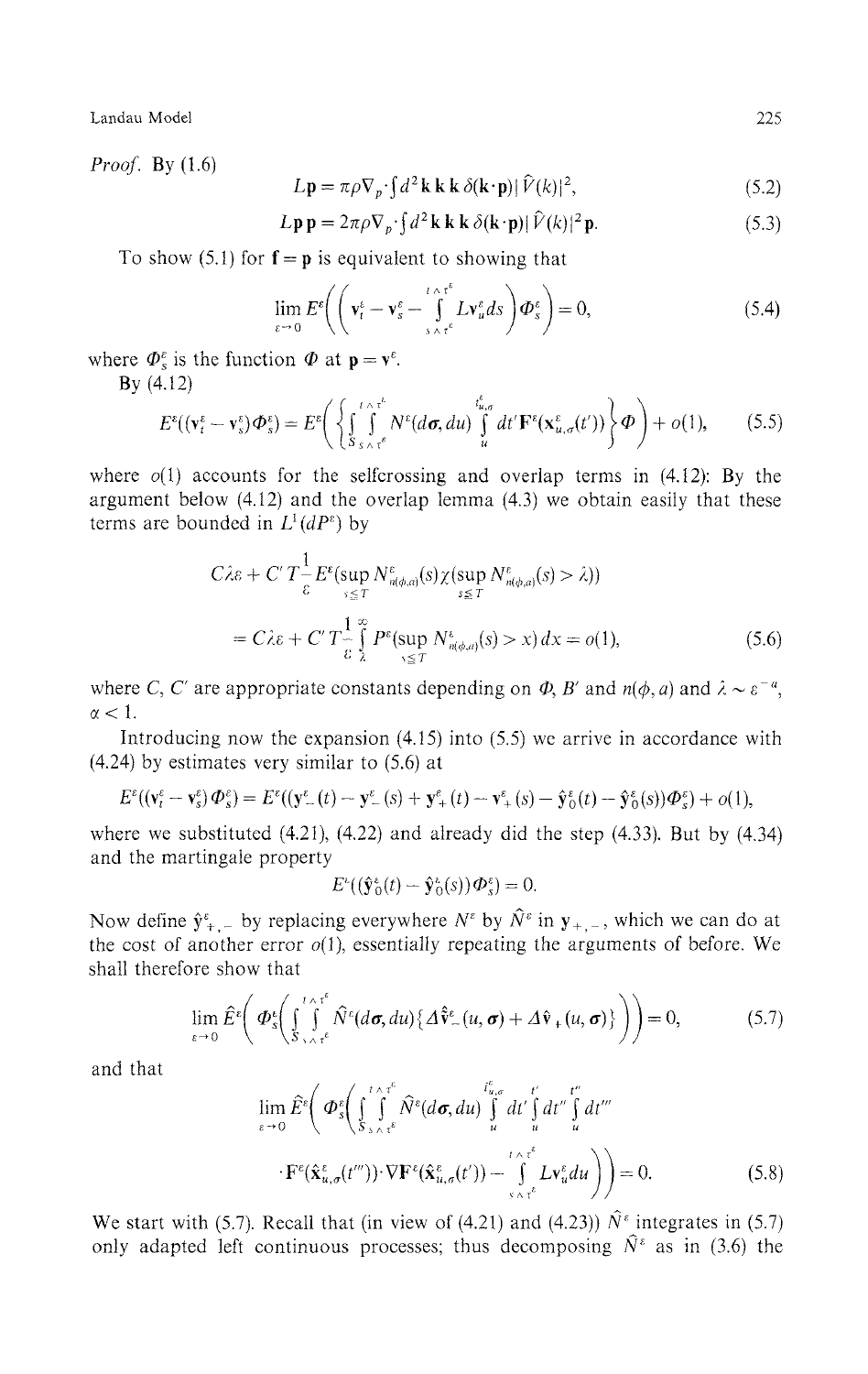*Proof.* By (1.6)

$$
L\mathbf{p} = \pi \rho \nabla_p \cdot \int d^2 \mathbf{k} \, \mathbf{k} \, \delta(\mathbf{k} \cdot \mathbf{p}) |\hat{V}(k)|^2, \tag{5.2}
$$

$$
L\mathbf{p}\mathbf{p} = 2\pi\rho \nabla_p \cdot \int d^2\mathbf{k}\mathbf{k}\mathbf{k} \delta(\mathbf{k}\cdot\mathbf{p}) |\hat{V}(k)|^2 \mathbf{p}.
$$
 (5.3)

To show (5.1) for  $f = p$  is equivalent to showing that

 $\lambda$ 

$$
\lim_{\varepsilon \to 0} E^{\varepsilon} \left( \left( \mathbf{v}_{t}^{\varepsilon} - \mathbf{v}_{s}^{\varepsilon} - \int_{s \wedge \tau^{\varepsilon}}^{t \wedge \tau^{\varepsilon}} L \mathbf{v}_{u}^{\varepsilon} ds \right) \boldsymbol{\Phi}_{s}^{\varepsilon} \right) = 0, \tag{5.4}
$$

where  $\Phi_{s}^{\varepsilon}$  is the function  $\Phi$  at  $\mathbf{p} = \mathbf{v}^{\varepsilon}$ .

By (4.12)

$$
E^{\varepsilon}((\mathbf{v}_{t}^{\varepsilon}-\mathbf{v}_{s}^{\varepsilon})\boldsymbol{\Phi}_{s}^{\varepsilon})=E^{\varepsilon}\Bigg(\bigg\{\int_{S_{s\wedge\tau}}^{\tau\wedge\tau^{\varepsilon}}N^{\varepsilon}(d\boldsymbol{\sigma},du)\int_{u}^{\varepsilon_{u,\sigma}^{\varepsilon}}dt'\mathbf{F}^{\varepsilon}(\mathbf{x}_{u,\sigma}^{\varepsilon}(t'))\bigg\}\boldsymbol{\Phi}\Bigg)+o(1),\qquad(5.5)
$$

where  $o(1)$  accounts for the selfcrossing and overlap terms in (4.12): By the argument below (4.12) and the overlap lemma (4.3) we obtain easily that these terms are bounded in  $L^1(dP^{\varepsilon})$  by

$$
C\lambda \varepsilon + C' T \frac{1}{\varepsilon} E^{\varepsilon}(\sup_{s \le T} N^{\varepsilon}_{n(\phi,a)}(s) \chi(\sup_{s \le T} N^{\varepsilon}_{n(\phi,a)}(s) > \lambda))
$$
  
=  $C\lambda \varepsilon + C' T \frac{1}{\varepsilon} \int_{\lambda}^{\infty} P^{\varepsilon}(\sup_{s \le T} N^{\varepsilon}_{n(\phi,a)}(s) > x) dx = o(1),$  (5.6)

where C, C' are appropriate constants depending on  $\Phi$ , B' and  $n(\phi, a)$  and  $\lambda \sim \varepsilon^{-a}$ ,  $\alpha < 1$ .

Introducing now the expansion (4.15) into (5.5) we arrive in accordance with (4.24) by estimates very similar to (5.6) at

$$
E^{\varepsilon}((\mathbf{v}^{\varepsilon}_t-\mathbf{v}^{\varepsilon}_s)\boldsymbol{\Phi}^{\varepsilon}_s)=E^{\varepsilon}((\mathbf{y}^{\varepsilon}_{-}(t)-\mathbf{y}^{\varepsilon}_{-}(s)+\mathbf{y}^{\varepsilon}_{+}(t)-\mathbf{v}^{\varepsilon}_{+}(s)-\hat{\mathbf{y}}^{\varepsilon}_{0}(t)-\hat{\mathbf{y}}^{\varepsilon}_{0}(s))\boldsymbol{\Phi}^{\varepsilon}_s)+o(1),
$$

where we substituted  $(4.21)$ ,  $(4.22)$  and already did the step  $(4.33)$ . But by  $(4.34)$ and the martingale property

$$
E^{\varepsilon}((\hat{\mathbf{y}}_{0}^{\varepsilon}(t)-\hat{\mathbf{y}}_{0}^{\varepsilon}(s))\boldsymbol{\Phi}_{s}^{\varepsilon})=0.
$$

Now define  $\hat{y}_{+,-}^{\varepsilon}$  by replacing everywhere  $N^{\varepsilon}$  by  $\hat{N}^{\varepsilon}$  in  $\mathbf{y}_{+,-}$ , which we can do at the cost of another error  $o(1)$ , essentially repeating the arguments of before. We shall therefore show that

$$
\lim_{\varepsilon \to 0} \hat{E}^{\varepsilon} \bigg( \Phi^{\varepsilon}_{s} \bigg( \int_{S_{\gamma} \wedge \tau^{\varepsilon}}^{\tau \wedge \tau^{\varepsilon}} \hat{N}^{\varepsilon} (d\sigma, du) \{ \Delta \hat{v}_{-}(u, \sigma) + \Delta \hat{v}_{+}(u, \sigma) \} \bigg) \bigg) = 0, \tag{5.7}
$$

and that

$$
\lim_{\varepsilon \to 0} \hat{E}^{\varepsilon} \bigg( \Phi^{\varepsilon}_{s} \bigg( \int_{S}^{t \wedge \tau^{\varepsilon}} \hat{N}^{\varepsilon} (d\sigma, du) \int_{u}^{t_{u,\sigma}^{\varepsilon}} dt' \int_{u}^{t'} dt'' \int_{u}^{t''} dt'''
$$

$$
\cdot \mathbf{F}^{\varepsilon} (\hat{\mathbf{x}}_{u,\sigma}^{\varepsilon} (t''')) \cdot \nabla \mathbf{F}^{\varepsilon} (\hat{\mathbf{x}}_{u,\sigma}^{\varepsilon} (t')) - \int_{S \wedge \tau^{\varepsilon}}^{t \wedge \tau^{\varepsilon}} L \mathbf{v}_{u}^{\varepsilon} du \bigg) \bigg) = 0.
$$
(5.8)

We start with (5.7). Recall that (in view of (4.21) and (4.23))  $\hat{N}^{\epsilon}$  integrates in (5.7) only adapted left continuous processes; thus decomposing  $\hat{N}^{\epsilon}$  as in (3.6) the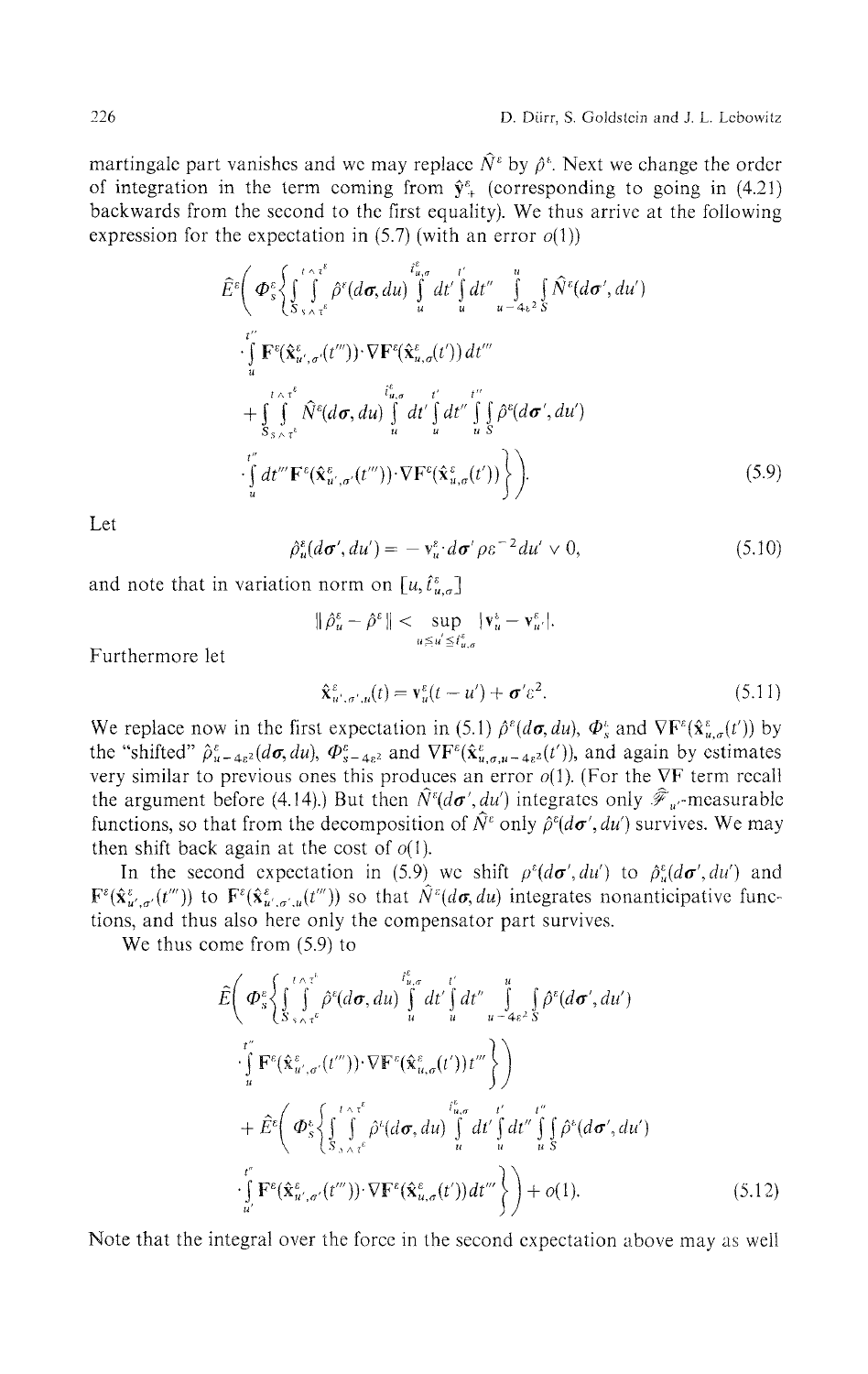martingale part vanishes and we may replace  $\hat{N}^{\epsilon}$  by  $\hat{\rho}^{\epsilon}$ . Next we change the order of integration in the term coming from  $\hat{y}^{\epsilon}_{+}$  (corresponding to going in (4.21) backwards from the second to the first equality). We thus arrive at the following expression for the expectation in  $(5.7)$  (with an error  $o(1)$ )

$$
\widehat{E}^{e}\bigg(\Phi_{s}^{\epsilon}\bigg\{\int_{S_{\gamma_{\wedge}\tau}^{\epsilon}}^{\epsilon_{\wedge}\tau_{\epsilon}^{\epsilon}}\widehat{\rho}^{\epsilon}(d\sigma, du)\bigg\}_{u}^{t_{u,\sigma}^{\epsilon}}dt'\bigg\}_{u}^{t'}dt''\bigg\}_{u}^{u}dt''\bigg\}_{\epsilon\geq 0}^{u}\bigg\{\widehat{N}^{e}(d\sigma', du')\bigg\}_{u}^{t''}
$$
\n
$$
\cdot\int_{u}^{t''}\mathbf{F}^{e}(\widehat{\mathbf{x}}_{u',\sigma}^{\epsilon}(t'''))\cdot\nabla\mathbf{F}^{e}(\widehat{\mathbf{x}}_{u,\sigma}^{\epsilon}(t'))dt'''\bigg\}_{u}^{t''}
$$
\n
$$
+\int_{S_{\gamma_{\wedge}\tau}^{\epsilon}}^{\epsilon_{\wedge}\tau_{\epsilon}^{\epsilon}}\widehat{N}^{e}(d\sigma, du)\int_{u}^{t_{u,\sigma}^{\epsilon}}dt'\int_{u}^{t''}\bigg\}_{s}^{t''}\widehat{\rho}^{e}(d\sigma', du')
$$
\n
$$
\cdot\int_{u}^{t''}\frac{dt'''}{e^{t''}}\mathbf{F}^{e}(\widehat{\mathbf{x}}_{u',\sigma'}^{\epsilon}(t'''))\cdot\nabla\mathbf{F}^{e}(\widehat{\mathbf{x}}_{u,\sigma}^{\epsilon}(t'))\bigg\}\bigg).
$$
\n(5.9)

Let

$$
\hat{\rho}_u^{\varepsilon}(d\sigma', du') = -v_u^{\varepsilon} \cdot d\sigma' \rho \varepsilon^{-2} du' \vee 0, \qquad (5.10)
$$

*p u (dσ\du') = -v <sup>u</sup> dσ<sup>f</sup>* and note that in variation norm on  $L_{\nu}$ ,  $u_{\nu}$ 

$$
\|\hat{\rho}_u^{\varepsilon}-\hat{\rho}^{\varepsilon}\|<\sup_{u\leq u^{'}\leq t_{u,\sigma}^{\varepsilon}}|\mathbf{v}_u^{\varepsilon}-\mathbf{v}_{u^{'}}^{\varepsilon}|.
$$

Furthermore let

$$
\hat{\mathbf{x}}_{u',\sigma',u}^{\varepsilon}(t) = \mathbf{v}_u^{\varepsilon}(t - u') + \boldsymbol{\sigma}' \varepsilon^2.
$$
\n(5.11)

We replace now in the first expectation in (5.1)  $\hat{\rho}^{\epsilon}(d\sigma, du)$ ,  $\Phi_s^{\epsilon}$  and  $\nabla \mathbf{F}^{\epsilon}(\hat{\mathbf{x}}_{u,\sigma}^{\epsilon}(t))$  by the "shifted"  $\hat{\rho}_{u-4s^2}^{\varepsilon}(d\sigma,du)$ ,  $\Phi_{s-4s^2}^{\varepsilon}$  and  $\nabla F^{\varepsilon}(\hat{x}_{u,\sigma,u-4s^2}^{\varepsilon}(t'))$ , and again by estimates very similar to previous ones this produces an error  $o(1)$ . (For the VF term recall the argument before (4.14).) But then  $N^{\varepsilon}(d{\bm\sigma}',du')$  integrates only  $\mathscr F_{u'}$ -measurable functions, so that from the decomposition of  $\hat{N}^{\varepsilon}$  only  $\hat{\rho}^{\varepsilon}(d\sigma', du')$  survives. We may then shift back again at the cost of  $o(1)$ .

In the second expectation in (5.9) we shift  $\rho^{\varepsilon}(d\sigma', du')$  to  $\hat{\rho}^{\varepsilon}_u(d\sigma', du')$  and  $F^{\varepsilon}(\hat{x}_{u',\sigma'}^{\varepsilon}(t'''))$  to  $F^{\varepsilon}(\hat{x}_{u',\sigma',u}^{\varepsilon}(t'''))$  so that  $\hat{N}^{\varepsilon}(d\sigma,du)$  integrates nonanticipative func tions, and thus also here only the compensator part survives.

We thus come from (5.9) to

$$
\hat{E}\left(\boldsymbol{\Phi}_{s}^{\varepsilon}\left\{\int_{S_{\gamma_{\wedge}\gamma_{\varepsilon}}^{\varepsilon_{\varepsilon}}}\int_{u}^{\varepsilon_{\wedge}\gamma_{\varepsilon}^{\varepsilon}}\hat{\rho}^{\varepsilon}(d\boldsymbol{\sigma}, du)\int_{u}^{\varepsilon_{u,\sigma}}dt'\int_{u}^{t'}dt''\int_{u-\varepsilon_{\varepsilon}^{\varepsilon_{\varepsilon}}}\int_{S}\hat{\rho}^{\varepsilon}(d\boldsymbol{\sigma}', du')\right]^{t''}\right]^{t''}\right\}
$$
\n
$$
+\hat{E}^{\varepsilon}\left(\boldsymbol{\Phi}_{s}^{\varepsilon}\left\{\int_{S_{\gamma_{\wedge}\gamma_{\varepsilon}}^{\varepsilon}}^{\varepsilon_{\varepsilon}\gamma_{\varepsilon}}\hat{\rho}^{\varepsilon}(d\boldsymbol{\sigma}, du)\int_{u}^{\varepsilon_{u,\sigma}}dt'\int_{u}^{\varepsilon_{u}}dt'''\int_{u}^{\varepsilon_{u}}\hat{\rho}^{\varepsilon}(d\boldsymbol{\sigma}', du')\right]^{t''}\right\}
$$
\n
$$
+\hat{E}^{\varepsilon}\left(\boldsymbol{\Phi}_{s}^{\varepsilon}\left\{\int_{S_{\gamma_{\wedge}\gamma_{\varepsilon}}^{\varepsilon}}^{\varepsilon_{\varepsilon}\gamma_{\varepsilon}}\hat{\rho}^{\varepsilon}(d\boldsymbol{\sigma}, du)\int_{u}^{\varepsilon_{u,\sigma}}dt'\int_{u}^{\varepsilon_{u}}dt'''\int_{u}^{\varepsilon_{u}}\hat{\rho}^{\varepsilon}(d\boldsymbol{\sigma}', du')\right]^{t''}\right\}
$$
\n
$$
\cdot\int_{u'}^{t''}\mathbf{F}^{\varepsilon}(\hat{\mathbf{x}}_{u',\sigma'}^{\varepsilon}(t'''))\cdot\nabla\mathbf{F}^{\varepsilon}(\hat{\mathbf{x}}_{u,\sigma}^{\varepsilon}(t'))dt'''\right\}\right)+o(1). \tag{5.12}
$$

Note that the integral over the force in the second expectation above may as well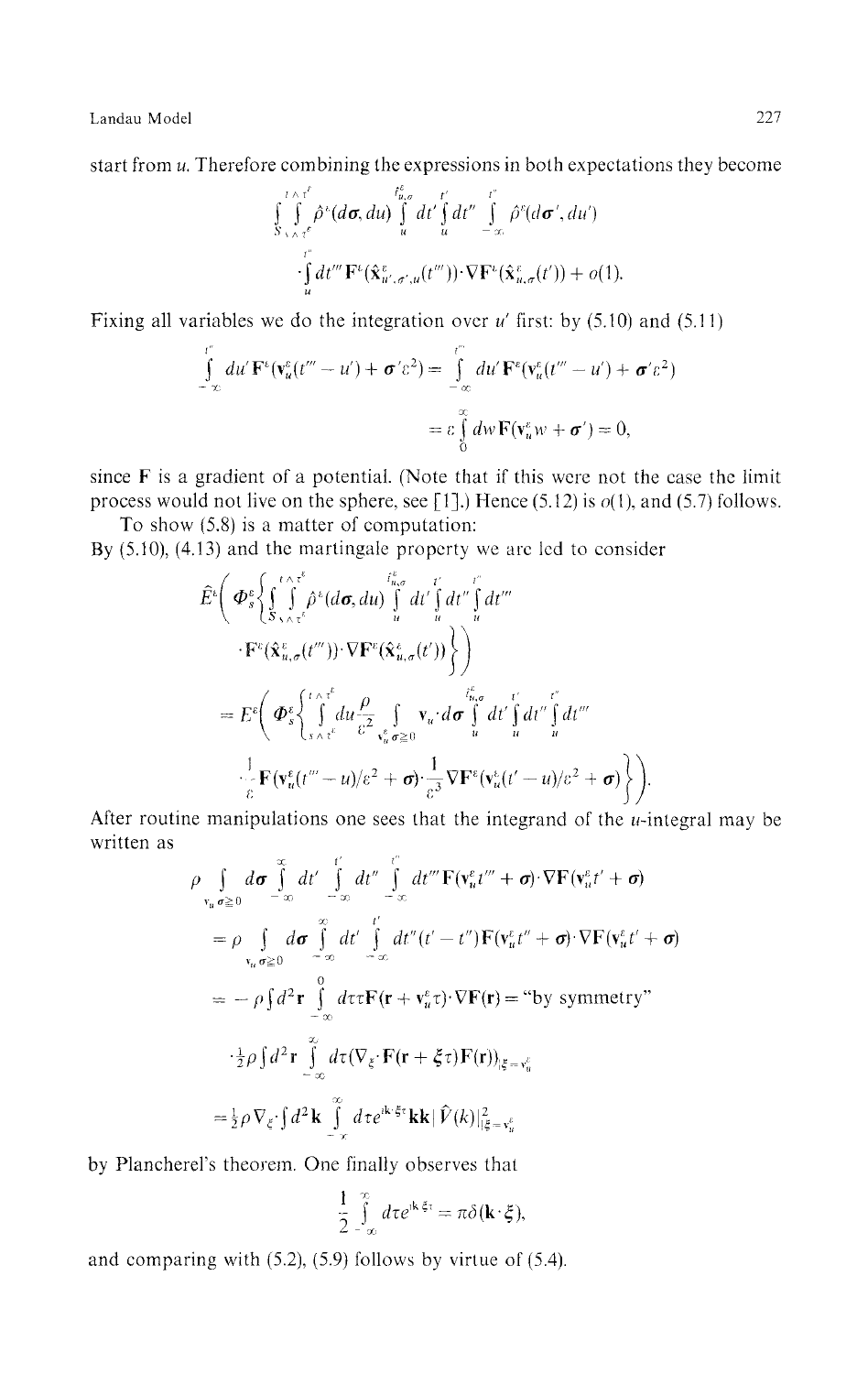start from *u.* Therefore combining the expressions in both expectations they become

$$
\int_{S_{\gamma\wedge\tau}\tau}^{\tau\wedge\tau'} \hat{\rho}^k(d\sigma, du) \int_u^{t_{u,\sigma}^s} dt' \int_u^{\tau'} dt'' \int_{-\infty}^{\tau''} \hat{\rho}^k(d\sigma', du') \cdot \int_u^{\tau''} dt''' \mathbf{F}^k(\hat{\mathbf{x}}_{u',\sigma',u}^v(t''')) \cdot \nabla \mathbf{F}^k(\hat{\mathbf{x}}_{u,\sigma}^e(t')) + o(1).
$$

Fixing all variables we do the integration over *u'* first: by (5.10) and (5.11)

$$
\int_{-\infty}^{t''} du' \mathbf{F}^{\varepsilon} (\mathbf{v}_u^{\varepsilon}(t'' - u') + \boldsymbol{\sigma}' \varepsilon^2) = \int_{-\infty}^{t''} du' \mathbf{F}^{\varepsilon} (\mathbf{v}_u^{\varepsilon}(t''' - u') + \boldsymbol{\sigma}' \varepsilon^2)
$$

$$
= \varepsilon \int_{0}^{\infty} dw \mathbf{F} (\mathbf{v}_u^{\varepsilon} w + \boldsymbol{\sigma}') = 0,
$$

since  $F$  is a gradient of a potential. (Note that if this were not the case the limit process would not live on the sphere, see [1].) Hence (5.12) is  $o(1)$ , and (5.7) follows.

To show (5.8) is a matter of computation: By (5.10), (4.13) and the martingale property we are led to consider

$$
\hat{E}^{\epsilon}\bigg(\Phi_s^{\epsilon}\bigg\{\int\limits_{S_{\gamma\wedge\tau}^{\epsilon}}^{t\wedge\tau^{\epsilon}}\hat{\rho}^{\epsilon}(d\sigma, du)\int\limits_{u}^{t_{u,\sigma}^{\epsilon}}dt'\int\limits_{u}^{t'}dt''\int\limits_{u}^{t''}dt'''\n\cdot\mathbf{F}^{\epsilon}(\hat{\mathbf{x}}_{u,\sigma}^{\epsilon}(t'''))\cdot\nabla\mathbf{F}^{\epsilon}(\hat{\mathbf{x}}_{u,\sigma}^{\epsilon}(t'))\bigg\}\bigg)
$$
\n
$$
=E^{\epsilon}\bigg(\Phi_s^{\epsilon}\bigg\{\int\limits_{S_{\gamma\wedge\tau}^{\epsilon}}^{t\wedge\tau^{\epsilon}}du\frac{\rho}{\epsilon^2}\int\limits_{\tau_u^{\epsilon}}^{t} \mathbf{v}_u\cdot d\sigma\int\limits_{u}^{t_{u,\sigma}^{\epsilon}}dt'\int\limits_{u}^{t'}dt''\int\limits_{u}^{t''}dt'''\bigg]
$$
\n
$$
\bigg[\frac{1}{\epsilon}\mathbf{F}(\mathbf{v}_u^{\epsilon}(t''-u)/\epsilon^2+\sigma)\cdot\frac{1}{\epsilon^3}\nabla\mathbf{F}^{\epsilon}(\mathbf{v}_u^{\epsilon}(t'-u)/\epsilon^2+\sigma)\bigg\}\bigg).
$$

After routine manipulations one sees that the integrand of the *u*-integral may be written as

$$
\rho \int_{\mathbf{v}_u} d\sigma \int_{-\infty}^{\infty} dt' \int_{-\infty}^{t'} dt'' \int_{-\infty}^{t'} dt''' \mathbf{F}(\mathbf{v}_u^{\varepsilon}t''' + \sigma) \cdot \nabla \mathbf{F}(\mathbf{v}_u^{\varepsilon}t' + \sigma)
$$
\n
$$
= \rho \int_{\mathbf{v}_u} d\sigma \int_{-\infty}^{\infty} dt' \int_{-\infty}^{t'} dt'' (t'-t'') \mathbf{F}(\mathbf{v}_u^{\varepsilon}t'' + \sigma) \cdot \nabla \mathbf{F}(\mathbf{v}_u^{\varepsilon}t' + \sigma)
$$
\n
$$
= -\rho \int d^2 \mathbf{r} \int_{-\infty}^{0} d\tau \mathbf{F}(\mathbf{r} + \mathbf{v}_u^{\varepsilon} \tau) \cdot \nabla \mathbf{F}(\mathbf{r}) = \text{``by symmetry''}
$$
\n
$$
\int_{-\infty}^{1} \rho \int d^2 \mathbf{r} \int_{-\infty}^{\infty} d\tau (\nabla_{\xi} \cdot \mathbf{F}(\mathbf{r} + \xi \tau) \mathbf{F}(\mathbf{r}))_{|\xi = \mathbf{v}_u^{\varepsilon}}
$$
\n
$$
= \frac{1}{2} \rho \nabla_{\xi} \cdot \int d^2 \mathbf{k} \int_{-\infty}^{\infty} d\tau e^{i\mathbf{k} \cdot \xi \tau} \mathbf{k} \mathbf{k} |\hat{V}(k)|_{|\xi = \mathbf{v}_u^{\varepsilon}}
$$

by Plancherel's theorem. One finally observes that

$$
\frac{1}{2}\int_{-\infty}^{\infty}d\tau e^{i\mathbf{k}\cdot\boldsymbol{\xi}\tau}=\pi\delta(\mathbf{k}\cdot\boldsymbol{\xi}),
$$

and comparing with (5.2), (5.9) follows by virtue of (5.4).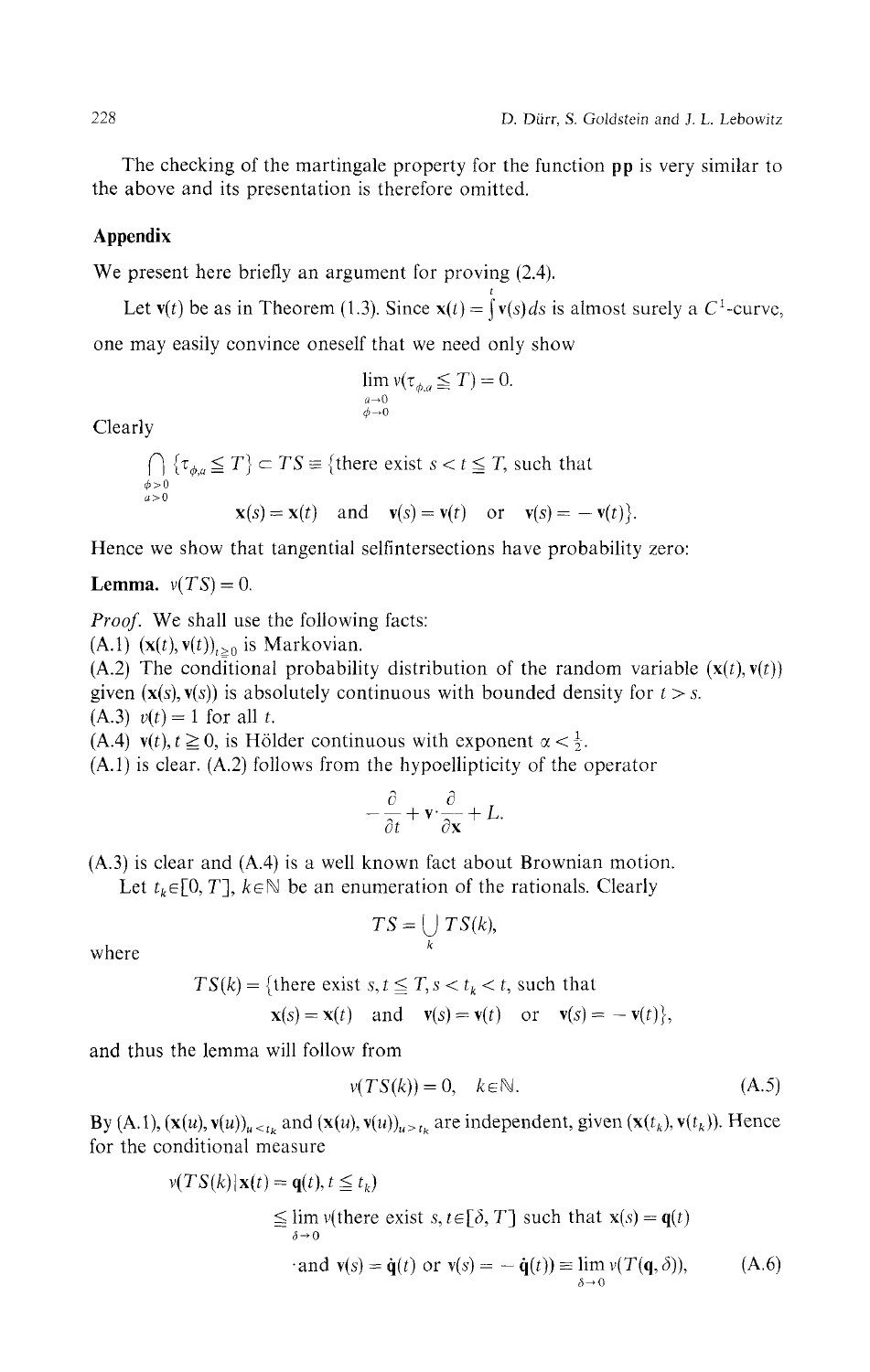The checking of the martingale property for the function **pp** is very similar to the above and its presentation is therefore omitted.

## **Appendix**

We present here briefly an argument for proving  $(2.4)$ .

Let  $v(t)$  be as in Theorem (1.3). Since  $x(t) = \int_0^t v(s) ds$  is almost surely a C<sup>1</sup>-curve, one may easily convince oneself that we need only show

$$
\lim_{\substack{a\to 0\\ \phi\to 0}} \nu(\tau_{\phi,a}\leq T)=0.
$$

Clearly

$$
\bigcap_{\substack{\phi>0\\a>0}} \{\tau_{\phi,a} \le T\} \subset TS \equiv \{\text{there exist } s < t \le T, \text{ such that }\\ \mathbf{x}(s) = \mathbf{x}(t) \quad \text{and} \quad \mathbf{v}(s) = \mathbf{v}(t) \quad \text{or} \quad \mathbf{v}(s) = -\mathbf{v}(t)\}.
$$

Hence we show that tangential selfintersections have probability zero:

**Lemma.**  $v(TS) = 0$ .

*Proof.* We shall use the following facts:<br>(A.1)  $(\mathbf{x}(t), \mathbf{v}(t))_{t>0}$  is Markovian.

 $(A, 2)$  The conditional probabili given ( $\mathbf{x}(s)$ ,  $\mathbf{v}(s)$ ) is absolutely continuous with bounded density for  $t > s$ . (A.3)  $v(t) = 1$  for all t.

(A.4)  $v(t)$ ,  $t \ge 0$ , is Hölder continuous with exponent  $\alpha < \frac{1}{2}$ .

(A.4) is above (A.2) follows from the hypoplicity of the  $(x,1)$  is clear.  $(x,2)$  follows from the hypoempticity of the operator

$$
-\frac{\partial}{\partial t} + \mathbf{v} \cdot \frac{\partial}{\partial \mathbf{x}} + L.
$$

(A.3) is clear and (A.4) is a well known fact about Brownian motion.

Let  $t_k \in [0, T]$ ,  $k \in \mathbb{N}$  be an enumeration of the rationals. Clearly

$$
TS = \bigcup_{k} TS(k),
$$

where

$$
TS(k) = \{ \text{there exist } s, t \leq T, s < t_k < t, \text{ such that}
$$
  

$$
\mathbf{x}(s) = \mathbf{x}(t) \quad \text{and} \quad \mathbf{v}(s) = \mathbf{v}(t) \quad \text{or} \quad \mathbf{v}(s) = -\mathbf{v}(t) \},
$$

and thus the lemma will follow from

$$
v(TS(k)) = 0, \quad k \in \mathbb{N}.\tag{A.5}
$$

By (A.1),  $(\mathbf{x}(u), \mathbf{v}(u))_{u \le t_k}$  and  $(\mathbf{x}(u), \mathbf{v}(u))_{u \ge t_k}$  are independent, given  $(\mathbf{x}(t_k), \mathbf{v}(t_k))$ . Hence for the conditional measure

$$
\nu(TS(k)|\mathbf{x}(t) = \mathbf{q}(t), t \leq t_k)
$$
  
\n
$$
\leq \lim_{\delta \to 0} \nu(\text{there exist } s, t \in [\delta, T] \text{ such that } \mathbf{x}(s) = \mathbf{q}(t)
$$
  
\n
$$
\text{and } \mathbf{v}(s) = \dot{\mathbf{q}}(t) \text{ or } \mathbf{v}(s) = -\dot{\mathbf{q}}(t) \equiv \lim_{\delta \to 0} \nu(T(\mathbf{q}, \delta)), \tag{A.6}
$$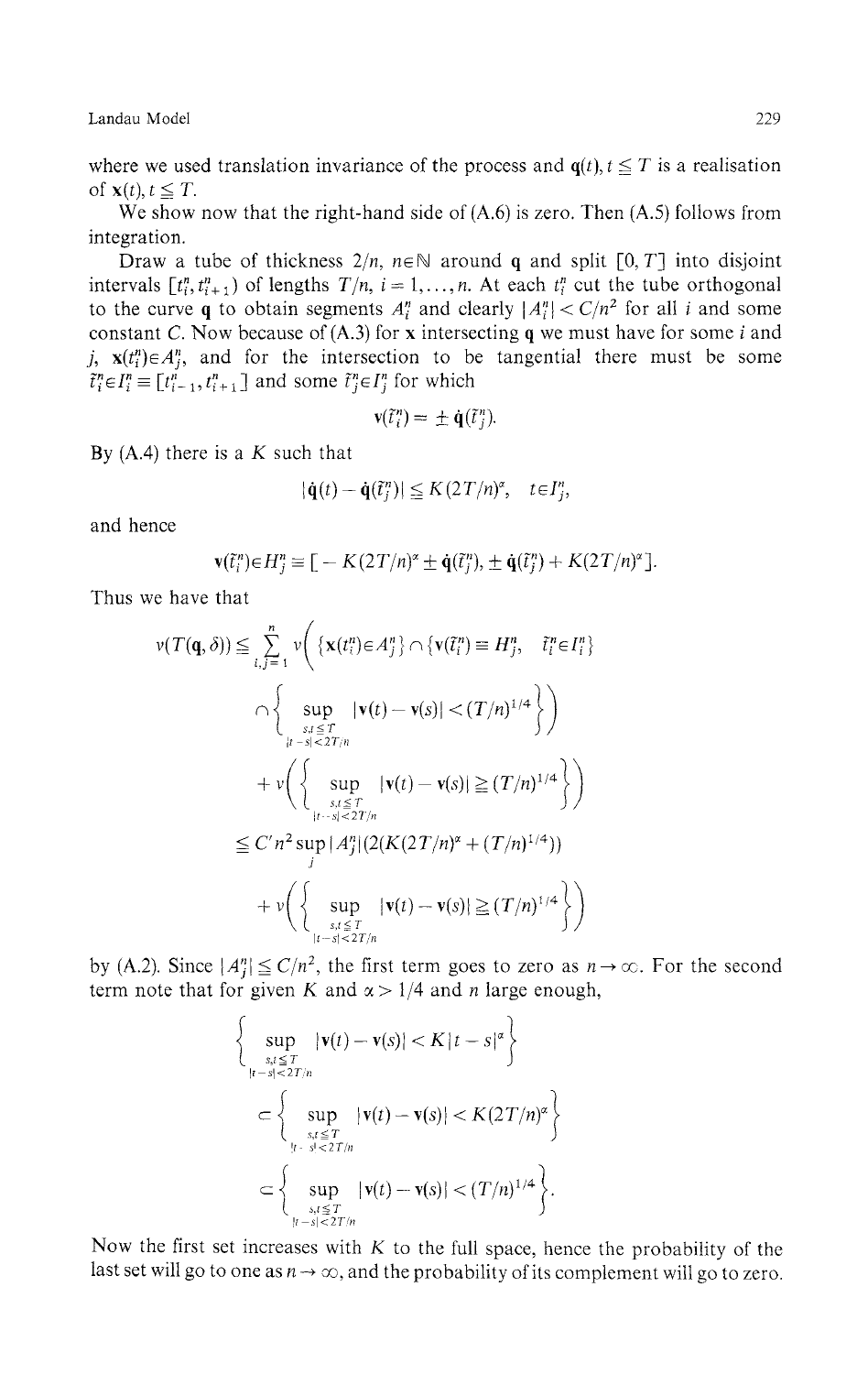where we used translation invariance of the process and  $q(t)$ ,  $t \leq T$  is a realisation of  $\mathbf{x}(t)$ ,  $t \leq T$ .

We show now that the right-hand side of  $(A.6)$  is zero. Then  $(A.5)$  follows from integration.

Draw a tube of thickness  $2/n$ ,  $n \in \mathbb{N}$  around q and split  $[0, T]$  into disjoint intervals  $[t_i^n, t_{i+1}^n]$  of lengths  $T/n$ ,  $i = 1, ..., n$ . At each  $t_i^n$  cut the tube orthogonal to the curve q to obtain segments  $A_i^n$  and clearly  $|A_i^n| < C/n^2$  for all *i* and some constant C. Now because of (A.3) for x intersecting q we must have for some *ί* and j,  $\mathbf{x}(t_i^n) \in A_i^n$ , and for the intersection to be tangential there must be some  $\tilde{t}_i^n \in I_i^n \equiv [t_{i-1}^n, t_{i+1}^n]$  and some  $\tilde{t}_i^n \in I_i^n$  for which

$$
\mathbf{v}(\tilde{\mathbf{t}}_i^n) = \pm \dot{\mathbf{q}}(\tilde{\mathbf{t}}_j^n).
$$

By (A.4) there is a *K* such that

$$
|\dot{\mathbf{q}}(t) - \dot{\mathbf{q}}(\tilde{t}_j^n)| \leq K(2T/n)^{\alpha}, \quad t \in I_j^n,
$$

and hence

$$
\mathbf{v}(\tilde{t}_i^n) \in H_j^n \equiv \big[ -K(2T/n)^{\alpha} \pm \dot{\mathbf{q}}(\tilde{t}_j^n), \pm \dot{\mathbf{q}}(\tilde{t}_j^n) + K(2T/n)^{\alpha} \big].
$$

Thus we have that

$$
v(T(\mathbf{q}, \delta)) \leq \sum_{i,j=1}^{n} v\left( \left\{ \mathbf{x}(t_i^n) \in A_j^n \right\} \cap \left\{ \mathbf{v}(\tilde{t}_i^n) \equiv H_j^n, \quad \tilde{t}_i^n \in I_i^n \right\} \right)
$$
  

$$
\cap \left\{ \sup_{\substack{s.t \leq T \\ |t-s| < 2T/n}} |\mathbf{v}(t) - \mathbf{v}(s)| < (T/n)^{1/4} \right\} \right)
$$
  

$$
+ v\left( \left\{ \sup_{\substack{s.t \leq T \\ |t-s| < 2T/n}} |\mathbf{v}(t) - \mathbf{v}(s)| \geq (T/n)^{1/4} \right\} \right)
$$
  

$$
\leq C' n^2 \sup_j |A_j^n| (2(K(2T/n)^{\alpha} + (T/n)^{1/4}))
$$
  

$$
+ v\left( \left\{ \sup_{\substack{s.t \leq T \\ |t-s| < 2T/n}} |\mathbf{v}(t) - \mathbf{v}(s)| \geq (T/n)^{1/4} \right\} \right)
$$

by (A.2). Since  $|A_i^n| \leq C/n^2$ , the first term goes to zero as  $n \to \infty$ . For the second term note that for given K and  $\alpha > 1/4$  and n large enough,

$$
\begin{cases}\n\sup_{\substack{s,t \leq T \\ |t-s| < 2T/n}} |\mathbf{v}(t) - \mathbf{v}(s)| < K |t-s|^{\alpha} \\
\end{cases}
$$
\n
$$
\subset \left\{\sup_{\substack{s,t \leq T \\ |t-s| < 2T/n}} |\mathbf{v}(t) - \mathbf{v}(s)| < K (2T/n)^{\alpha} \\
\end{cases}\right\}
$$
\n
$$
\subset \left\{\sup_{\substack{s,t \leq T \\ |t-s| < 2T/n}} |\mathbf{v}(t) - \mathbf{v}(s)| < (T/n)^{1/4}\right\}.
$$

Now the first set increases with *K* to the full space, hence the probability of the last set will go to one as  $n \to \infty$ , and the probability of its complement will go to zero.